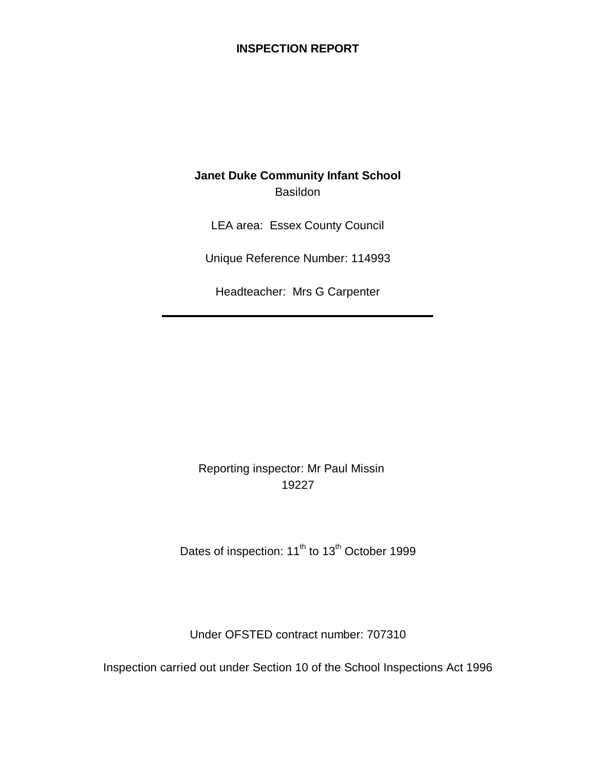## **INSPECTION REPORT**

# **Janet Duke Community Infant School** Basildon

LEA area: Essex County Council

Unique Reference Number: 114993

Headteacher: Mrs G Carpenter

## Reporting inspector: Mr Paul Missin 19227

Dates of inspection: 11<sup>th</sup> to 13<sup>th</sup> October 1999

Under OFSTED contract number: 707310

Inspection carried out under Section 10 of the School Inspections Act 1996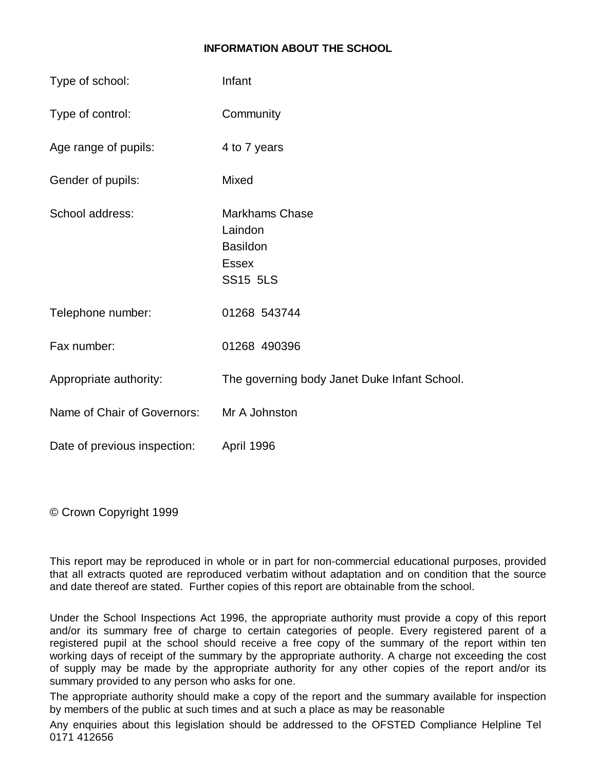#### **INFORMATION ABOUT THE SCHOOL**

| Type of school:              | Infant                                                                                 |
|------------------------------|----------------------------------------------------------------------------------------|
| Type of control:             | Community                                                                              |
| Age range of pupils:         | 4 to 7 years                                                                           |
| Gender of pupils:            | Mixed                                                                                  |
| School address:              | <b>Markhams Chase</b><br>Laindon<br><b>Basildon</b><br><b>Essex</b><br><b>SS15 5LS</b> |
| Telephone number:            | 01268 543744                                                                           |
| Fax number:                  | 01268 490396                                                                           |
| Appropriate authority:       | The governing body Janet Duke Infant School.                                           |
| Name of Chair of Governors:  | Mr A Johnston                                                                          |
| Date of previous inspection: | April 1996                                                                             |

© Crown Copyright 1999

This report may be reproduced in whole or in part for non-commercial educational purposes, provided that all extracts quoted are reproduced verbatim without adaptation and on condition that the source and date thereof are stated. Further copies of this report are obtainable from the school.

Under the School Inspections Act 1996, the appropriate authority must provide a copy of this report and/or its summary free of charge to certain categories of people. Every registered parent of a registered pupil at the school should receive a free copy of the summary of the report within ten working days of receipt of the summary by the appropriate authority. A charge not exceeding the cost of supply may be made by the appropriate authority for any other copies of the report and/or its summary provided to any person who asks for one.

The appropriate authority should make a copy of the report and the summary available for inspection by members of the public at such times and at such a place as may be reasonable

Any enquiries about this legislation should be addressed to the OFSTED Compliance Helpline Tel 0171 412656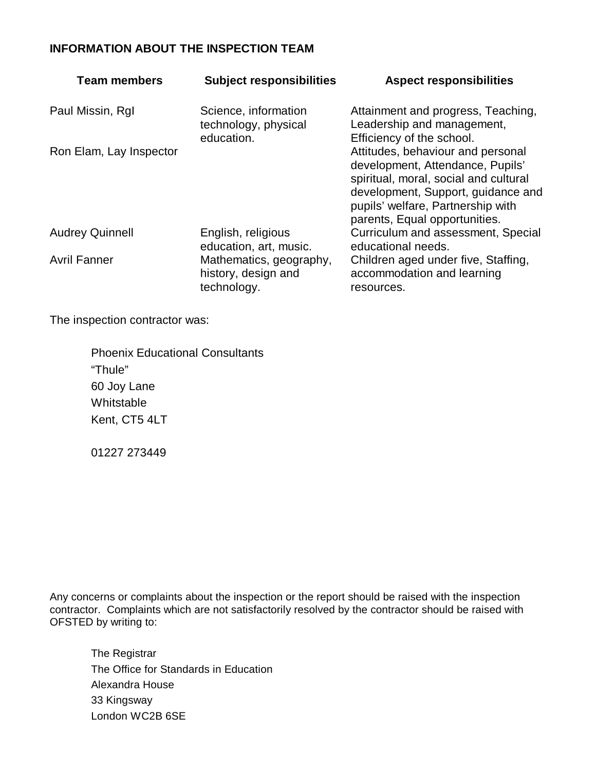## **INFORMATION ABOUT THE INSPECTION TEAM**

| <b>Team members</b>     | <b>Subject responsibilities</b>                               | <b>Aspect responsibilities</b>                                                                                                                                                                                             |
|-------------------------|---------------------------------------------------------------|----------------------------------------------------------------------------------------------------------------------------------------------------------------------------------------------------------------------------|
| Paul Missin, RgI        | Science, information<br>technology, physical<br>education.    | Attainment and progress, Teaching,<br>Leadership and management,<br>Efficiency of the school.                                                                                                                              |
| Ron Elam, Lay Inspector |                                                               | Attitudes, behaviour and personal<br>development, Attendance, Pupils'<br>spiritual, moral, social and cultural<br>development, Support, guidance and<br>pupils' welfare, Partnership with<br>parents, Equal opportunities. |
| <b>Audrey Quinnell</b>  | English, religious<br>education, art, music.                  | Curriculum and assessment, Special<br>educational needs.                                                                                                                                                                   |
| <b>Avril Fanner</b>     | Mathematics, geography,<br>history, design and<br>technology. | Children aged under five, Staffing,<br>accommodation and learning<br>resources.                                                                                                                                            |

The inspection contractor was:

Phoenix Educational Consultants "Thule" 60 Joy Lane Whitstable Kent, CT5 4LT

01227 273449

Any concerns or complaints about the inspection or the report should be raised with the inspection contractor. Complaints which are not satisfactorily resolved by the contractor should be raised with OFSTED by writing to:

The Registrar The Office for Standards in Education Alexandra House 33 Kingsway London WC2B 6SE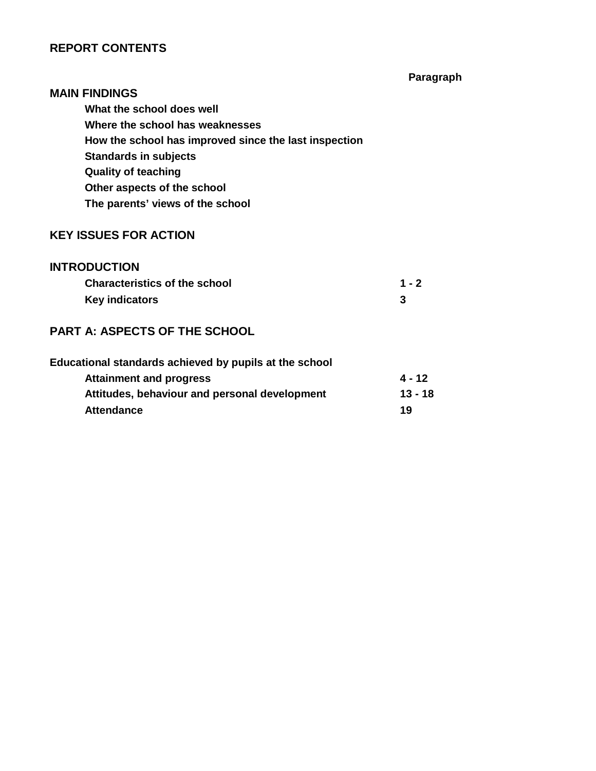## **REPORT CONTENTS**

**Paragraph**

# **MAIN FINDINGS What the school does well Where the school has weaknesses How the school has improved since the last inspection Standards in subjects Quality of teaching Other aspects of the school The parents' views of the school**

#### **KEY ISSUES FOR ACTION**

#### **INTRODUCTION**

| <b>Characteristics of the school</b> | $1 - 2$ |
|--------------------------------------|---------|
| <b>Key indicators</b>                |         |

## **PART A: ASPECTS OF THE SCHOOL**

| Educational standards achieved by pupils at the school |           |
|--------------------------------------------------------|-----------|
| <b>Attainment and progress</b>                         | 4 - 12    |
| Attitudes, behaviour and personal development          | $13 - 18$ |
| <b>Attendance</b>                                      | 19        |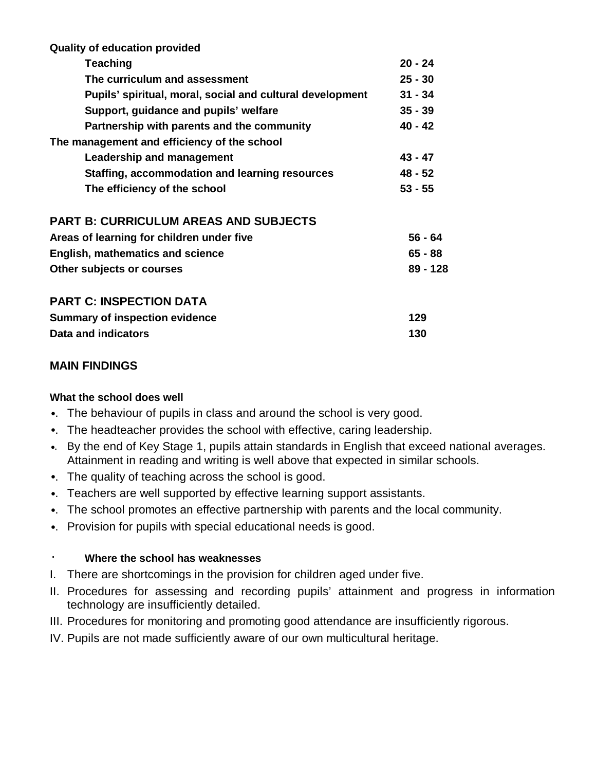| <b>Quality of education provided</b>                      |           |
|-----------------------------------------------------------|-----------|
| <b>Teaching</b>                                           | $20 - 24$ |
| The curriculum and assessment                             | $25 - 30$ |
| Pupils' spiritual, moral, social and cultural development | $31 - 34$ |
| Support, guidance and pupils' welfare                     | $35 - 39$ |
| Partnership with parents and the community                | $40 - 42$ |
| The management and efficiency of the school               |           |
| Leadership and management                                 | $43 - 47$ |
| Staffing, accommodation and learning resources            | 48 - 52   |
| The efficiency of the school                              | $53 - 55$ |
| <b>PART B: CURRICULUM AREAS AND SUBJECTS</b>              |           |
| Areas of learning for children under five                 | 56 - 64   |
| <b>English, mathematics and science</b>                   | $65 - 88$ |
| Other subjects or courses                                 | 89 - 128  |
| <b>PART C: INSPECTION DATA</b>                            |           |
| <b>Summary of inspection evidence</b>                     | 129       |
| Data and indicators                                       | 130       |

## **MAIN FINDINGS**

#### **What the school does well**

- •. The behaviour of pupils in class and around the school is very good.
- •. The headteacher provides the school with effective, caring leadership.
- •. By the end of Key Stage 1, pupils attain standards in English that exceed national averages. Attainment in reading and writing is well above that expected in similar schools.
- •. The quality of teaching across the school is good.
- •. Teachers are well supported by effective learning support assistants.
- •. The school promotes an effective partnership with parents and the local community.
- •. Provision for pupils with special educational needs is good.

## · **Where the school has weaknesses**

- I. There are shortcomings in the provision for children aged under five.
- II. Procedures for assessing and recording pupils' attainment and progress in information technology are insufficiently detailed.
- III. Procedures for monitoring and promoting good attendance are insufficiently rigorous.
- IV. Pupils are not made sufficiently aware of our own multicultural heritage.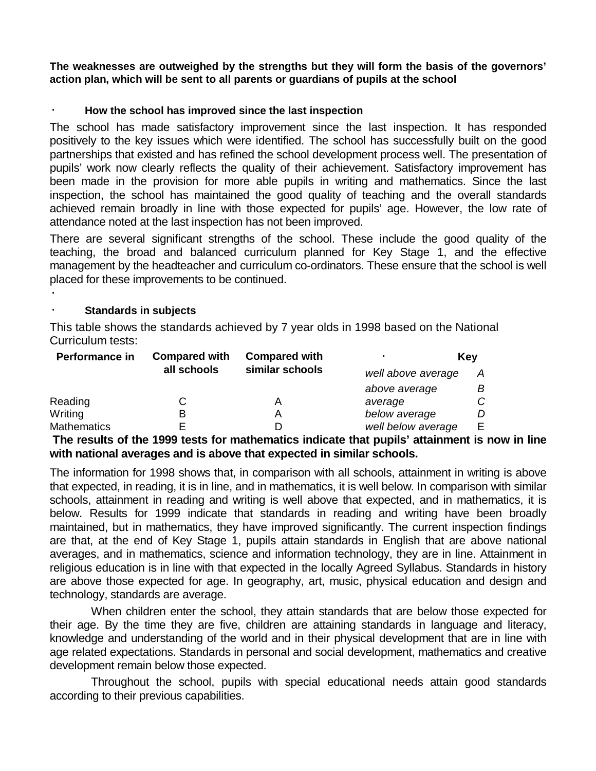**The weaknesses are outweighed by the strengths but they will form the basis of the governors' action plan, which will be sent to all parents or guardians of pupils at the school** 

#### · **How the school has improved since the last inspection**

The school has made satisfactory improvement since the last inspection. It has responded positively to the key issues which were identified. The school has successfully built on the good partnerships that existed and has refined the school development process well. The presentation of pupils' work now clearly reflects the quality of their achievement. Satisfactory improvement has been made in the provision for more able pupils in writing and mathematics. Since the last inspection, the school has maintained the good quality of teaching and the overall standards achieved remain broadly in line with those expected for pupils' age. However, the low rate of attendance noted at the last inspection has not been improved.

There are several significant strengths of the school. These include the good quality of the teaching, the broad and balanced curriculum planned for Key Stage 1, and the effective management by the headteacher and curriculum co-ordinators. These ensure that the school is well placed for these improvements to be continued.

#### **Standards in subjects**

·

This table shows the standards achieved by 7 year olds in 1998 based on the National Curriculum tests:

| Performance in     | <b>Compared with</b> | <b>Compared with</b> |                    | Key |
|--------------------|----------------------|----------------------|--------------------|-----|
|                    | all schools          | similar schools      | well above average | A   |
|                    |                      |                      | above average      |     |
| Reading            |                      |                      | average            |     |
| Writing            | В                    |                      | below average      |     |
| <b>Mathematics</b> |                      |                      | well below average | E.  |

**The results of the 1999 tests for mathematics indicate that pupils' attainment is now in line with national averages and is above that expected in similar schools.**

The information for 1998 shows that, in comparison with all schools, attainment in writing is above that expected, in reading, it is in line, and in mathematics, it is well below. In comparison with similar schools, attainment in reading and writing is well above that expected, and in mathematics, it is below. Results for 1999 indicate that standards in reading and writing have been broadly maintained, but in mathematics, they have improved significantly. The current inspection findings are that, at the end of Key Stage 1, pupils attain standards in English that are above national averages, and in mathematics, science and information technology, they are in line. Attainment in religious education is in line with that expected in the locally Agreed Syllabus. Standards in history are above those expected for age. In geography, art, music, physical education and design and technology, standards are average.

When children enter the school, they attain standards that are below those expected for their age. By the time they are five, children are attaining standards in language and literacy, knowledge and understanding of the world and in their physical development that are in line with age related expectations. Standards in personal and social development, mathematics and creative development remain below those expected.

Throughout the school, pupils with special educational needs attain good standards according to their previous capabilities.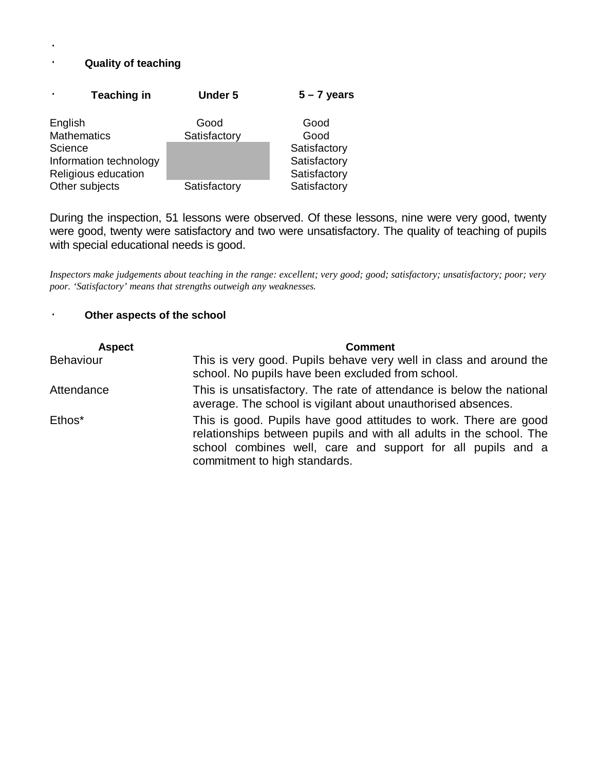## · **Quality of teaching**

·

|         | <b>Teaching in</b>     | <b>Under 5</b> | $5 - 7$ years |
|---------|------------------------|----------------|---------------|
| English |                        | Good           | Good          |
|         | <b>Mathematics</b>     | Satisfactory   | Good          |
| Science |                        |                | Satisfactory  |
|         | Information technology |                | Satisfactory  |
|         | Religious education    |                | Satisfactory  |
|         | Other subjects         | Satisfactory   | Satisfactory  |

During the inspection, 51 lessons were observed. Of these lessons, nine were very good, twenty were good, twenty were satisfactory and two were unsatisfactory. The quality of teaching of pupils with special educational needs is good.

*Inspectors make judgements about teaching in the range: excellent; very good; good; satisfactory; unsatisfactory; poor; very poor. 'Satisfactory' means that strengths outweigh any weaknesses.*

#### · **Other aspects of the school**

| <b>Aspect</b>    | <b>Comment</b>                                                                                                                                                                                                                          |
|------------------|-----------------------------------------------------------------------------------------------------------------------------------------------------------------------------------------------------------------------------------------|
| <b>Behaviour</b> | This is very good. Pupils behave very well in class and around the<br>school. No pupils have been excluded from school.                                                                                                                 |
| Attendance       | This is unsatisfactory. The rate of attendance is below the national<br>average. The school is vigilant about unauthorised absences.                                                                                                    |
| Ethos*           | This is good. Pupils have good attitudes to work. There are good<br>relationships between pupils and with all adults in the school. The<br>school combines well, care and support for all pupils and a<br>commitment to high standards. |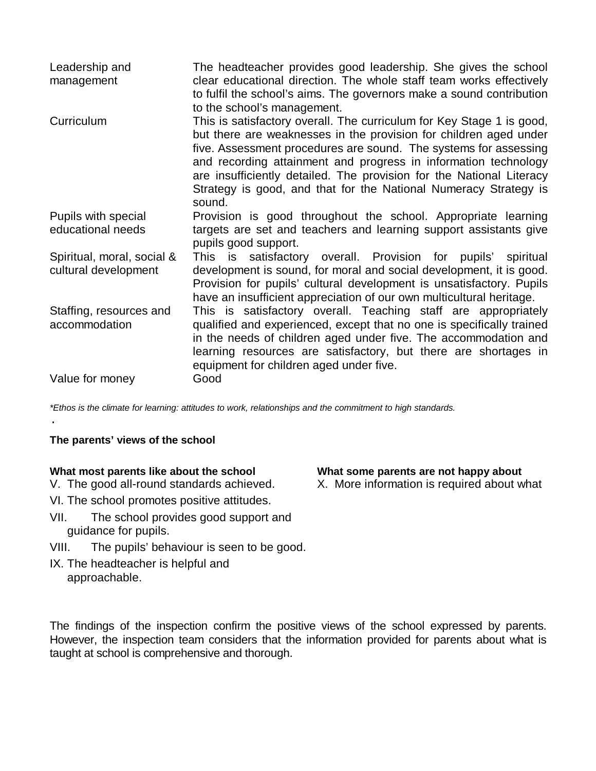| Leadership and<br>management                       | The headteacher provides good leadership. She gives the school<br>clear educational direction. The whole staff team works effectively<br>to fulfil the school's aims. The governors make a sound contribution<br>to the school's management.                                                                                                                                                                                            |
|----------------------------------------------------|-----------------------------------------------------------------------------------------------------------------------------------------------------------------------------------------------------------------------------------------------------------------------------------------------------------------------------------------------------------------------------------------------------------------------------------------|
| Curriculum                                         | This is satisfactory overall. The curriculum for Key Stage 1 is good,<br>but there are weaknesses in the provision for children aged under<br>five. Assessment procedures are sound. The systems for assessing<br>and recording attainment and progress in information technology<br>are insufficiently detailed. The provision for the National Literacy<br>Strategy is good, and that for the National Numeracy Strategy is<br>sound. |
| Pupils with special<br>educational needs           | Provision is good throughout the school. Appropriate learning<br>targets are set and teachers and learning support assistants give<br>pupils good support.                                                                                                                                                                                                                                                                              |
| Spiritual, moral, social &<br>cultural development | This is satisfactory overall. Provision for pupils' spiritual<br>development is sound, for moral and social development, it is good.<br>Provision for pupils' cultural development is unsatisfactory. Pupils<br>have an insufficient appreciation of our own multicultural heritage.                                                                                                                                                    |
| Staffing, resources and<br>accommodation           | This is satisfactory overall. Teaching staff are appropriately<br>qualified and experienced, except that no one is specifically trained<br>in the needs of children aged under five. The accommodation and<br>learning resources are satisfactory, but there are shortages in<br>equipment for children aged under five.                                                                                                                |
| Value for money                                    | Good                                                                                                                                                                                                                                                                                                                                                                                                                                    |

*\*Ethos is the climate for learning: attitudes to work, relationships and the commitment to high standards.*

#### **The parents' views of the school**

·

- V. The good all-round standards achieved.
- VI. The school promotes positive attitudes.
- VII. The school provides good support and guidance for pupils.
- VIII. The pupils' behaviour is seen to be good.
- IX. The headteacher is helpful and approachable.

The findings of the inspection confirm the positive views of the school expressed by parents. However, the inspection team considers that the information provided for parents about what is taught at school is comprehensive and thorough.

**What most parents like about the school What some parents are not happy about** X. More information is required about what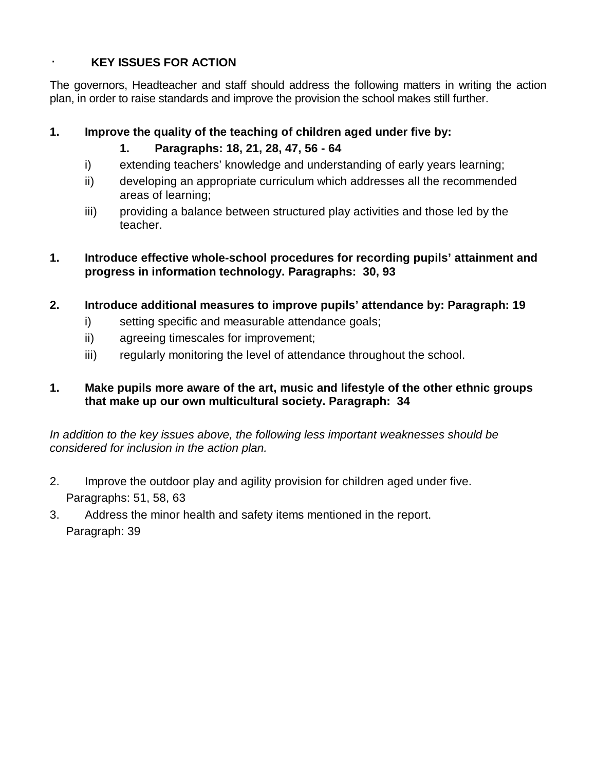## · **KEY ISSUES FOR ACTION**

The governors, Headteacher and staff should address the following matters in writing the action plan, in order to raise standards and improve the provision the school makes still further.

## **1. Improve the quality of the teaching of children aged under five by:**

- **1. Paragraphs: 18, 21, 28, 47, 56 64**
- i) extending teachers' knowledge and understanding of early years learning;
- ii) developing an appropriate curriculum which addresses all the recommended areas of learning;
- iii) providing a balance between structured play activities and those led by the teacher.

## **1. Introduce effective whole-school procedures for recording pupils' attainment and progress in information technology. Paragraphs: 30, 93**

- **2. Introduce additional measures to improve pupils' attendance by: Paragraph: 19**
	- i) setting specific and measurable attendance goals;
	- ii) agreeing timescales for improvement;
	- iii) regularly monitoring the level of attendance throughout the school.

## **1. Make pupils more aware of the art, music and lifestyle of the other ethnic groups that make up our own multicultural society. Paragraph: 34**

*In addition to the key issues above, the following less important weaknesses should be considered for inclusion in the action plan.*

- 2. Improve the outdoor play and agility provision for children aged under five. Paragraphs: 51, 58, 63
- 3. Address the minor health and safety items mentioned in the report. Paragraph: 39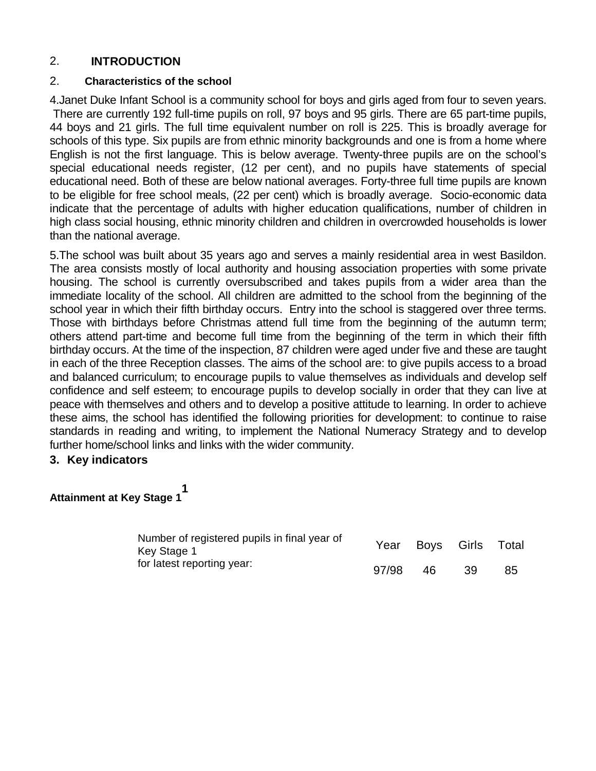## 2. **INTRODUCTION**

#### 2. **Characteristics of the school**

4.Janet Duke Infant School is a community school for boys and girls aged from four to seven years. There are currently 192 full-time pupils on roll, 97 boys and 95 girls. There are 65 part-time pupils, 44 boys and 21 girls. The full time equivalent number on roll is 225. This is broadly average for schools of this type. Six pupils are from ethnic minority backgrounds and one is from a home where English is not the first language. This is below average. Twenty-three pupils are on the school's special educational needs register, (12 per cent), and no pupils have statements of special educational need. Both of these are below national averages. Forty-three full time pupils are known to be eligible for free school meals, (22 per cent) which is broadly average. Socio-economic data indicate that the percentage of adults with higher education qualifications, number of children in high class social housing, ethnic minority children and children in overcrowded households is lower than the national average.

5.The school was built about 35 years ago and serves a mainly residential area in west Basildon. The area consists mostly of local authority and housing association properties with some private housing. The school is currently oversubscribed and takes pupils from a wider area than the immediate locality of the school. All children are admitted to the school from the beginning of the school year in which their fifth birthday occurs. Entry into the school is staggered over three terms. Those with birthdays before Christmas attend full time from the beginning of the autumn term; others attend part-time and become full time from the beginning of the term in which their fifth birthday occurs. At the time of the inspection, 87 children were aged under five and these are taught in each of the three Reception classes. The aims of the school are: to give pupils access to a broad and balanced curriculum; to encourage pupils to value themselves as individuals and develop self confidence and self esteem; to encourage pupils to develop socially in order that they can live at peace with themselves and others and to develop a positive attitude to learning. In order to achieve these aims, the school has identified the following priorities for development: to continue to raise standards in reading and writing, to implement the National Numeracy Strategy and to develop further home/school links and links with the wider community.

#### **3. Key indicators**

#### **Attainment at Key Stage 1 1**

| Number of registered pupils in final year of<br>Key Stage 1 |       | Year Boys Girls Total |     |    |
|-------------------------------------------------------------|-------|-----------------------|-----|----|
| for latest reporting year:                                  | 97/98 | -46                   | -39 | 85 |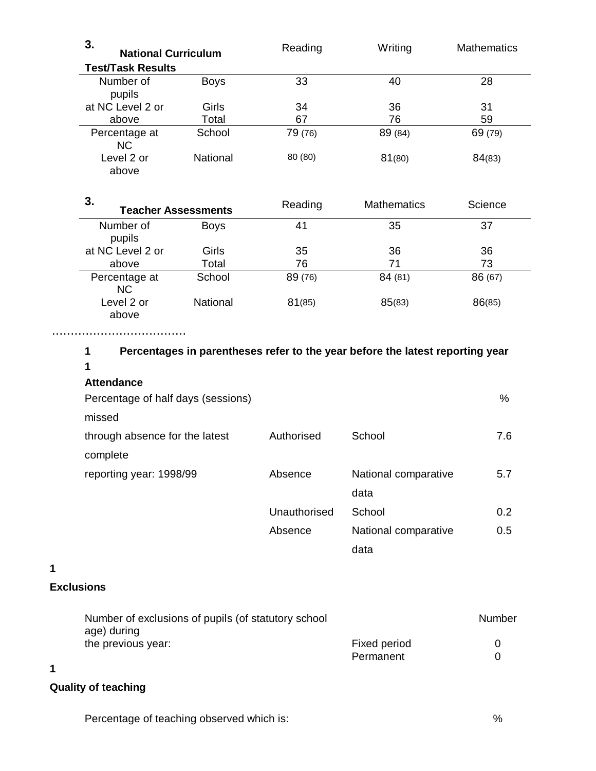| 3.<br><b>National Curriculum</b> |                 | Reading | Writing            | <b>Mathematics</b> |
|----------------------------------|-----------------|---------|--------------------|--------------------|
| <b>Test/Task Results</b>         |                 |         |                    |                    |
| Number of<br>pupils              | <b>Boys</b>     | 33      | 40                 | 28                 |
| at NC Level 2 or                 | Girls           | 34      | 36                 | 31                 |
| above                            | Total           | 67      | 76                 | 59                 |
| Percentage at<br><b>NC</b>       | School          | 79 (76) | 89 (84)            | 69 (79)            |
| Level 2 or<br>above              | <b>National</b> | 80 (80) | 81(80)             | 84(83)             |
| 3.<br><b>Teacher Assessments</b> |                 | Reading | <b>Mathematics</b> | Science            |
| Number of<br>pupils              | <b>Boys</b>     | 41      | 35                 | 37                 |

| pupiis                     |          |         |        |         |
|----------------------------|----------|---------|--------|---------|
| at NC Level 2 or           | Girls    | 35      | 36     | 36      |
| above                      | Total    | 76      | 71     | 73      |
| Percentage at<br><b>NC</b> | School   | 89 (76) | 84(81) | 86 (67) |
| Level 2 or<br>above        | National | 81(85)  | 85(83) | 86(85)  |

....................................

| Percentages in parentheses refer to the year before the latest reporting year<br>1 |              |                      |     |
|------------------------------------------------------------------------------------|--------------|----------------------|-----|
| 1                                                                                  |              |                      |     |
| <b>Attendance</b>                                                                  |              |                      |     |
| Percentage of half days (sessions)                                                 |              |                      | %   |
| missed                                                                             |              |                      |     |
| through absence for the latest                                                     | Authorised   | School               | 7.6 |
| complete                                                                           |              |                      |     |
| reporting year: 1998/99                                                            | Absence      | National comparative | 5.7 |
|                                                                                    |              | data                 |     |
|                                                                                    | Unauthorised | School               | 0.2 |
|                                                                                    | Absence      | National comparative | 0.5 |

**1**

## **Exclusions**

| Number of exclusions of pupils (of statutory school) |              | Number       |
|------------------------------------------------------|--------------|--------------|
| age) during                                          |              |              |
| the previous year:                                   | Fixed period | $\mathbf{I}$ |
|                                                      | Permanent    |              |

data

## **1**

## **Quality of teaching**

Percentage of teaching observed which is:  $\%$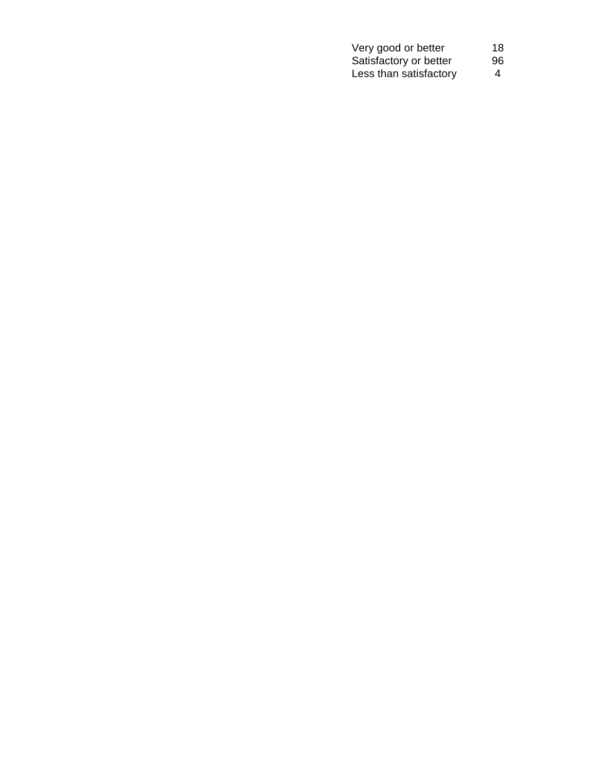| Very good or better    | 18 |
|------------------------|----|
| Satisfactory or better | 96 |
| Less than satisfactory | 4  |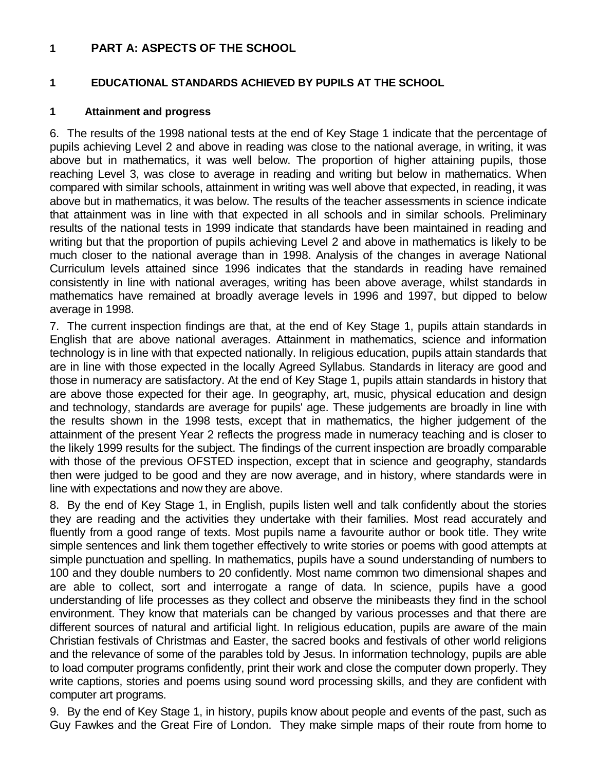#### **1 PART A: ASPECTS OF THE SCHOOL**

## **1 EDUCATIONAL STANDARDS ACHIEVED BY PUPILS AT THE SCHOOL**

#### **1 Attainment and progress**

6. The results of the 1998 national tests at the end of Key Stage 1 indicate that the percentage of pupils achieving Level 2 and above in reading was close to the national average, in writing, it was above but in mathematics, it was well below. The proportion of higher attaining pupils, those reaching Level 3, was close to average in reading and writing but below in mathematics. When compared with similar schools, attainment in writing was well above that expected, in reading, it was above but in mathematics, it was below. The results of the teacher assessments in science indicate that attainment was in line with that expected in all schools and in similar schools. Preliminary results of the national tests in 1999 indicate that standards have been maintained in reading and writing but that the proportion of pupils achieving Level 2 and above in mathematics is likely to be much closer to the national average than in 1998. Analysis of the changes in average National Curriculum levels attained since 1996 indicates that the standards in reading have remained consistently in line with national averages, writing has been above average, whilst standards in mathematics have remained at broadly average levels in 1996 and 1997, but dipped to below average in 1998.

7. The current inspection findings are that, at the end of Key Stage 1, pupils attain standards in English that are above national averages. Attainment in mathematics, science and information technology is in line with that expected nationally. In religious education, pupils attain standards that are in line with those expected in the locally Agreed Syllabus. Standards in literacy are good and those in numeracy are satisfactory. At the end of Key Stage 1, pupils attain standards in history that are above those expected for their age. In geography, art, music, physical education and design and technology, standards are average for pupils' age. These judgements are broadly in line with the results shown in the 1998 tests, except that in mathematics, the higher judgement of the attainment of the present Year 2 reflects the progress made in numeracy teaching and is closer to the likely 1999 results for the subject. The findings of the current inspection are broadly comparable with those of the previous OFSTED inspection, except that in science and geography, standards then were judged to be good and they are now average, and in history, where standards were in line with expectations and now they are above.

8. By the end of Key Stage 1, in English, pupils listen well and talk confidently about the stories they are reading and the activities they undertake with their families. Most read accurately and fluently from a good range of texts. Most pupils name a favourite author or book title. They write simple sentences and link them together effectively to write stories or poems with good attempts at simple punctuation and spelling. In mathematics, pupils have a sound understanding of numbers to 100 and they double numbers to 20 confidently. Most name common two dimensional shapes and are able to collect, sort and interrogate a range of data. In science, pupils have a good understanding of life processes as they collect and observe the minibeasts they find in the school environment. They know that materials can be changed by various processes and that there are different sources of natural and artificial light. In religious education, pupils are aware of the main Christian festivals of Christmas and Easter, the sacred books and festivals of other world religions and the relevance of some of the parables told by Jesus. In information technology, pupils are able to load computer programs confidently, print their work and close the computer down properly. They write captions, stories and poems using sound word processing skills, and they are confident with computer art programs.

9. By the end of Key Stage 1, in history, pupils know about people and events of the past, such as Guy Fawkes and the Great Fire of London. They make simple maps of their route from home to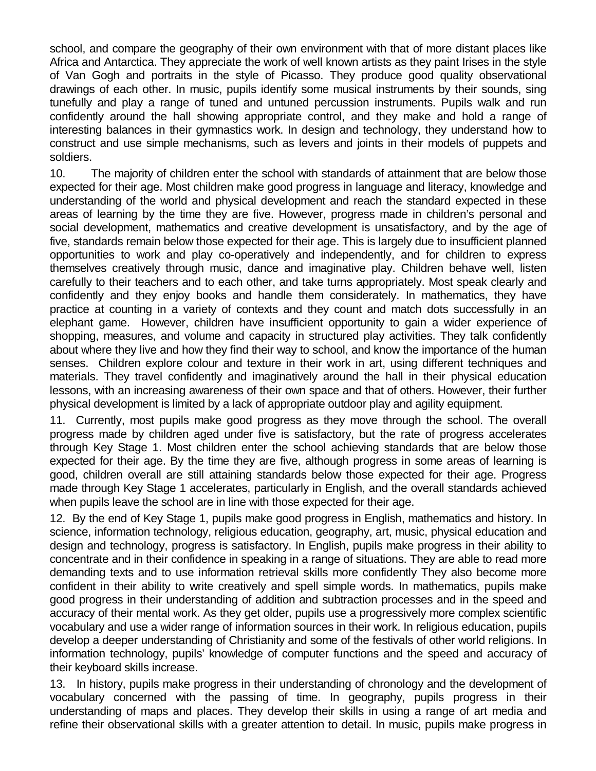school, and compare the geography of their own environment with that of more distant places like Africa and Antarctica. They appreciate the work of well known artists as they paint Irises in the style of Van Gogh and portraits in the style of Picasso. They produce good quality observational drawings of each other. In music, pupils identify some musical instruments by their sounds, sing tunefully and play a range of tuned and untuned percussion instruments. Pupils walk and run confidently around the hall showing appropriate control, and they make and hold a range of interesting balances in their gymnastics work. In design and technology, they understand how to construct and use simple mechanisms, such as levers and joints in their models of puppets and soldiers.

10. The majority of children enter the school with standards of attainment that are below those expected for their age. Most children make good progress in language and literacy, knowledge and understanding of the world and physical development and reach the standard expected in these areas of learning by the time they are five. However, progress made in children's personal and social development, mathematics and creative development is unsatisfactory, and by the age of five, standards remain below those expected for their age. This is largely due to insufficient planned opportunities to work and play co-operatively and independently, and for children to express themselves creatively through music, dance and imaginative play. Children behave well, listen carefully to their teachers and to each other, and take turns appropriately. Most speak clearly and confidently and they enjoy books and handle them considerately. In mathematics, they have practice at counting in a variety of contexts and they count and match dots successfully in an elephant game. However, children have insufficient opportunity to gain a wider experience of shopping, measures, and volume and capacity in structured play activities. They talk confidently about where they live and how they find their way to school, and know the importance of the human senses. Children explore colour and texture in their work in art, using different techniques and materials. They travel confidently and imaginatively around the hall in their physical education lessons, with an increasing awareness of their own space and that of others. However, their further physical development is limited by a lack of appropriate outdoor play and agility equipment.

11. Currently, most pupils make good progress as they move through the school. The overall progress made by children aged under five is satisfactory, but the rate of progress accelerates through Key Stage 1. Most children enter the school achieving standards that are below those expected for their age. By the time they are five, although progress in some areas of learning is good, children overall are still attaining standards below those expected for their age. Progress made through Key Stage 1 accelerates, particularly in English, and the overall standards achieved when pupils leave the school are in line with those expected for their age.

12. By the end of Key Stage 1, pupils make good progress in English, mathematics and history. In science, information technology, religious education, geography, art, music, physical education and design and technology, progress is satisfactory. In English, pupils make progress in their ability to concentrate and in their confidence in speaking in a range of situations. They are able to read more demanding texts and to use information retrieval skills more confidently They also become more confident in their ability to write creatively and spell simple words. In mathematics, pupils make good progress in their understanding of addition and subtraction processes and in the speed and accuracy of their mental work. As they get older, pupils use a progressively more complex scientific vocabulary and use a wider range of information sources in their work. In religious education, pupils develop a deeper understanding of Christianity and some of the festivals of other world religions. In information technology, pupils' knowledge of computer functions and the speed and accuracy of their keyboard skills increase.

13. In history, pupils make progress in their understanding of chronology and the development of vocabulary concerned with the passing of time. In geography, pupils progress in their understanding of maps and places. They develop their skills in using a range of art media and refine their observational skills with a greater attention to detail. In music, pupils make progress in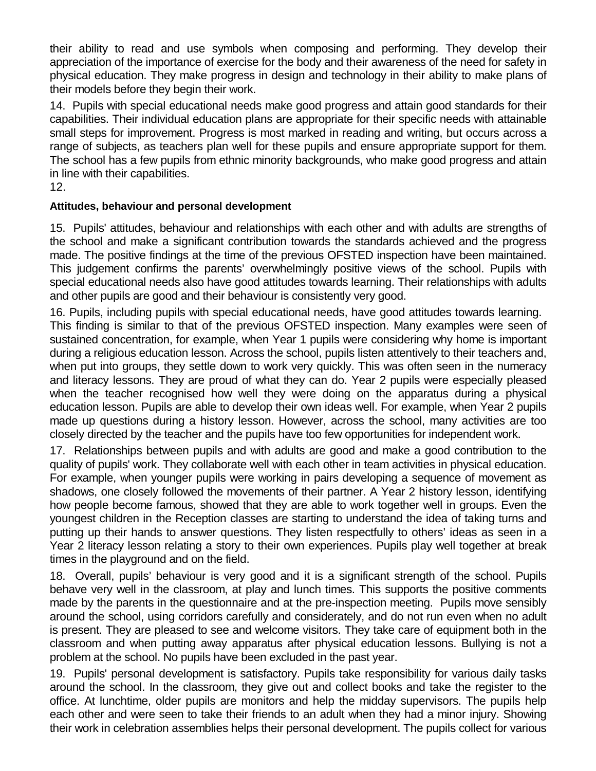their ability to read and use symbols when composing and performing. They develop their appreciation of the importance of exercise for the body and their awareness of the need for safety in physical education. They make progress in design and technology in their ability to make plans of their models before they begin their work.

14. Pupils with special educational needs make good progress and attain good standards for their capabilities. Their individual education plans are appropriate for their specific needs with attainable small steps for improvement. Progress is most marked in reading and writing, but occurs across a range of subjects, as teachers plan well for these pupils and ensure appropriate support for them. The school has a few pupils from ethnic minority backgrounds, who make good progress and attain in line with their capabilities.

12.

## **Attitudes, behaviour and personal development**

15. Pupils' attitudes, behaviour and relationships with each other and with adults are strengths of the school and make a significant contribution towards the standards achieved and the progress made. The positive findings at the time of the previous OFSTED inspection have been maintained. This judgement confirms the parents' overwhelmingly positive views of the school. Pupils with special educational needs also have good attitudes towards learning. Their relationships with adults and other pupils are good and their behaviour is consistently very good.

16. Pupils, including pupils with special educational needs, have good attitudes towards learning. This finding is similar to that of the previous OFSTED inspection. Many examples were seen of sustained concentration, for example, when Year 1 pupils were considering why home is important during a religious education lesson. Across the school, pupils listen attentively to their teachers and, when put into groups, they settle down to work very quickly. This was often seen in the numeracy and literacy lessons. They are proud of what they can do. Year 2 pupils were especially pleased when the teacher recognised how well they were doing on the apparatus during a physical education lesson. Pupils are able to develop their own ideas well. For example, when Year 2 pupils made up questions during a history lesson. However, across the school, many activities are too closely directed by the teacher and the pupils have too few opportunities for independent work.

17. Relationships between pupils and with adults are good and make a good contribution to the quality of pupils' work. They collaborate well with each other in team activities in physical education. For example, when younger pupils were working in pairs developing a sequence of movement as shadows, one closely followed the movements of their partner. A Year 2 history lesson, identifying how people become famous, showed that they are able to work together well in groups. Even the youngest children in the Reception classes are starting to understand the idea of taking turns and putting up their hands to answer questions. They listen respectfully to others' ideas as seen in a Year 2 literacy lesson relating a story to their own experiences. Pupils play well together at break times in the playground and on the field.

18. Overall, pupils' behaviour is very good and it is a significant strength of the school. Pupils behave very well in the classroom, at play and lunch times. This supports the positive comments made by the parents in the questionnaire and at the pre-inspection meeting. Pupils move sensibly around the school, using corridors carefully and considerately, and do not run even when no adult is present. They are pleased to see and welcome visitors. They take care of equipment both in the classroom and when putting away apparatus after physical education lessons. Bullying is not a problem at the school. No pupils have been excluded in the past year.

19. Pupils' personal development is satisfactory. Pupils take responsibility for various daily tasks around the school. In the classroom, they give out and collect books and take the register to the office. At lunchtime, older pupils are monitors and help the midday supervisors. The pupils help each other and were seen to take their friends to an adult when they had a minor injury. Showing their work in celebration assemblies helps their personal development. The pupils collect for various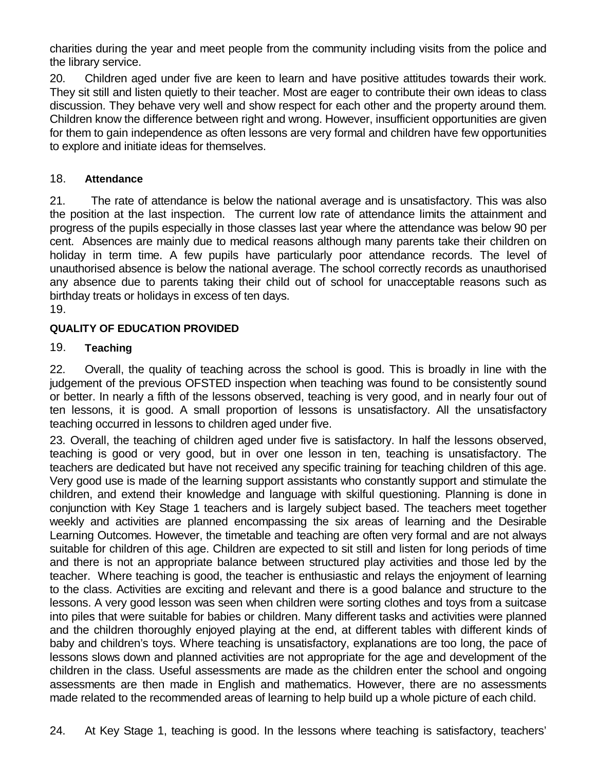charities during the year and meet people from the community including visits from the police and the library service.

20. Children aged under five are keen to learn and have positive attitudes towards their work. They sit still and listen quietly to their teacher. Most are eager to contribute their own ideas to class discussion. They behave very well and show respect for each other and the property around them. Children know the difference between right and wrong. However, insufficient opportunities are given for them to gain independence as often lessons are very formal and children have few opportunities to explore and initiate ideas for themselves.

## 18. **Attendance**

21. The rate of attendance is below the national average and is unsatisfactory. This was also the position at the last inspection. The current low rate of attendance limits the attainment and progress of the pupils especially in those classes last year where the attendance was below 90 per cent. Absences are mainly due to medical reasons although many parents take their children on holiday in term time. A few pupils have particularly poor attendance records. The level of unauthorised absence is below the national average. The school correctly records as unauthorised any absence due to parents taking their child out of school for unacceptable reasons such as birthday treats or holidays in excess of ten days. 19.

## **QUALITY OF EDUCATION PROVIDED**

## 19. **Teaching**

22. Overall, the quality of teaching across the school is good. This is broadly in line with the judgement of the previous OFSTED inspection when teaching was found to be consistently sound or better. In nearly a fifth of the lessons observed, teaching is very good, and in nearly four out of ten lessons, it is good. A small proportion of lessons is unsatisfactory. All the unsatisfactory teaching occurred in lessons to children aged under five.

23. Overall, the teaching of children aged under five is satisfactory. In half the lessons observed, teaching is good or very good, but in over one lesson in ten, teaching is unsatisfactory. The teachers are dedicated but have not received any specific training for teaching children of this age. Very good use is made of the learning support assistants who constantly support and stimulate the children, and extend their knowledge and language with skilful questioning. Planning is done in conjunction with Key Stage 1 teachers and is largely subject based. The teachers meet together weekly and activities are planned encompassing the six areas of learning and the Desirable Learning Outcomes. However, the timetable and teaching are often very formal and are not always suitable for children of this age. Children are expected to sit still and listen for long periods of time and there is not an appropriate balance between structured play activities and those led by the teacher. Where teaching is good, the teacher is enthusiastic and relays the enjoyment of learning to the class. Activities are exciting and relevant and there is a good balance and structure to the lessons. A very good lesson was seen when children were sorting clothes and toys from a suitcase into piles that were suitable for babies or children. Many different tasks and activities were planned and the children thoroughly enjoyed playing at the end, at different tables with different kinds of baby and children's toys. Where teaching is unsatisfactory, explanations are too long, the pace of lessons slows down and planned activities are not appropriate for the age and development of the children in the class. Useful assessments are made as the children enter the school and ongoing assessments are then made in English and mathematics. However, there are no assessments made related to the recommended areas of learning to help build up a whole picture of each child.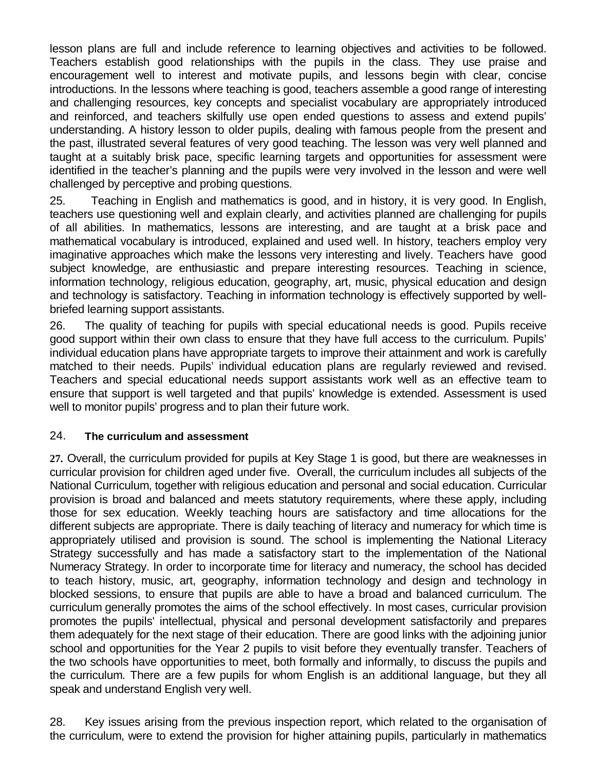lesson plans are full and include reference to learning objectives and activities to be followed. Teachers establish good relationships with the pupils in the class. They use praise and encouragement well to interest and motivate pupils, and lessons begin with clear, concise introductions. In the lessons where teaching is good, teachers assemble a good range of interesting and challenging resources, key concepts and specialist vocabulary are appropriately introduced and reinforced, and teachers skilfully use open ended questions to assess and extend pupils' understanding. A history lesson to older pupils, dealing with famous people from the present and the past, illustrated several features of very good teaching. The lesson was very well planned and taught at a suitably brisk pace, specific learning targets and opportunities for assessment were identified in the teacher's planning and the pupils were very involved in the lesson and were well challenged by perceptive and probing questions.

25. Teaching in English and mathematics is good, and in history, it is very good. In English, teachers use questioning well and explain clearly, and activities planned are challenging for pupils of all abilities. In mathematics, lessons are interesting, and are taught at a brisk pace and mathematical vocabulary is introduced, explained and used well. In history, teachers employ very imaginative approaches which make the lessons very interesting and lively. Teachers have good subject knowledge, are enthusiastic and prepare interesting resources. Teaching in science, information technology, religious education, geography, art, music, physical education and design and technology is satisfactory. Teaching in information technology is effectively supported by wellbriefed learning support assistants.

26. The quality of teaching for pupils with special educational needs is good. Pupils receive good support within their own class to ensure that they have full access to the curriculum. Pupils' individual education plans have appropriate targets to improve their attainment and work is carefully matched to their needs. Pupils' individual education plans are regularly reviewed and revised. Teachers and special educational needs support assistants work well as an effective team to ensure that support is well targeted and that pupils' knowledge is extended. Assessment is used well to monitor pupils' progress and to plan their future work.

#### 24. **The curriculum and assessment**

**27.** Overall, the curriculum provided for pupils at Key Stage 1 is good, but there are weaknesses in curricular provision for children aged under five. Overall, the curriculum includes all subjects of the National Curriculum, together with religious education and personal and social education. Curricular provision is broad and balanced and meets statutory requirements, where these apply, including those for sex education. Weekly teaching hours are satisfactory and time allocations for the different subjects are appropriate. There is daily teaching of literacy and numeracy for which time is appropriately utilised and provision is sound. The school is implementing the National Literacy Strategy successfully and has made a satisfactory start to the implementation of the National Numeracy Strategy. In order to incorporate time for literacy and numeracy, the school has decided to teach history, music, art, geography, information technology and design and technology in blocked sessions, to ensure that pupils are able to have a broad and balanced curriculum. The curriculum generally promotes the aims of the school effectively. In most cases, curricular provision promotes the pupils' intellectual, physical and personal development satisfactorily and prepares them adequately for the next stage of their education. There are good links with the adjoining junior school and opportunities for the Year 2 pupils to visit before they eventually transfer. Teachers of the two schools have opportunities to meet, both formally and informally, to discuss the pupils and the curriculum. There are a few pupils for whom English is an additional language, but they all speak and understand English very well.

28. Key issues arising from the previous inspection report, which related to the organisation of the curriculum, were to extend the provision for higher attaining pupils, particularly in mathematics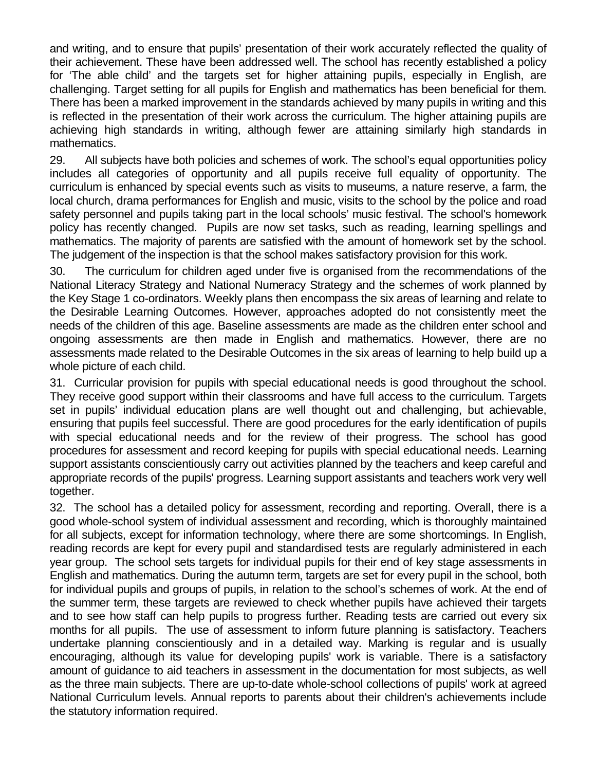and writing, and to ensure that pupils' presentation of their work accurately reflected the quality of their achievement. These have been addressed well. The school has recently established a policy for 'The able child' and the targets set for higher attaining pupils, especially in English, are challenging. Target setting for all pupils for English and mathematics has been beneficial for them. There has been a marked improvement in the standards achieved by many pupils in writing and this is reflected in the presentation of their work across the curriculum. The higher attaining pupils are achieving high standards in writing, although fewer are attaining similarly high standards in mathematics.

29. All subjects have both policies and schemes of work. The school's equal opportunities policy includes all categories of opportunity and all pupils receive full equality of opportunity. The curriculum is enhanced by special events such as visits to museums, a nature reserve, a farm, the local church, drama performances for English and music, visits to the school by the police and road safety personnel and pupils taking part in the local schools' music festival. The school's homework policy has recently changed. Pupils are now set tasks, such as reading, learning spellings and mathematics. The majority of parents are satisfied with the amount of homework set by the school. The judgement of the inspection is that the school makes satisfactory provision for this work.

30. The curriculum for children aged under five is organised from the recommendations of the National Literacy Strategy and National Numeracy Strategy and the schemes of work planned by the Key Stage 1 co-ordinators. Weekly plans then encompass the six areas of learning and relate to the Desirable Learning Outcomes. However, approaches adopted do not consistently meet the needs of the children of this age. Baseline assessments are made as the children enter school and ongoing assessments are then made in English and mathematics. However, there are no assessments made related to the Desirable Outcomes in the six areas of learning to help build up a whole picture of each child.

31. Curricular provision for pupils with special educational needs is good throughout the school. They receive good support within their classrooms and have full access to the curriculum. Targets set in pupils' individual education plans are well thought out and challenging, but achievable, ensuring that pupils feel successful. There are good procedures for the early identification of pupils with special educational needs and for the review of their progress. The school has good procedures for assessment and record keeping for pupils with special educational needs. Learning support assistants conscientiously carry out activities planned by the teachers and keep careful and appropriate records of the pupils' progress. Learning support assistants and teachers work very well together.

32. The school has a detailed policy for assessment, recording and reporting. Overall, there is a good whole-school system of individual assessment and recording, which is thoroughly maintained for all subjects, except for information technology, where there are some shortcomings. In English, reading records are kept for every pupil and standardised tests are regularly administered in each year group. The school sets targets for individual pupils for their end of key stage assessments in English and mathematics. During the autumn term, targets are set for every pupil in the school, both for individual pupils and groups of pupils, in relation to the school's schemes of work. At the end of the summer term, these targets are reviewed to check whether pupils have achieved their targets and to see how staff can help pupils to progress further. Reading tests are carried out every six months for all pupils. The use of assessment to inform future planning is satisfactory. Teachers undertake planning conscientiously and in a detailed way. Marking is regular and is usually encouraging, although its value for developing pupils' work is variable. There is a satisfactory amount of guidance to aid teachers in assessment in the documentation for most subjects, as well as the three main subjects. There are up-to-date whole-school collections of pupils' work at agreed National Curriculum levels. Annual reports to parents about their children's achievements include the statutory information required.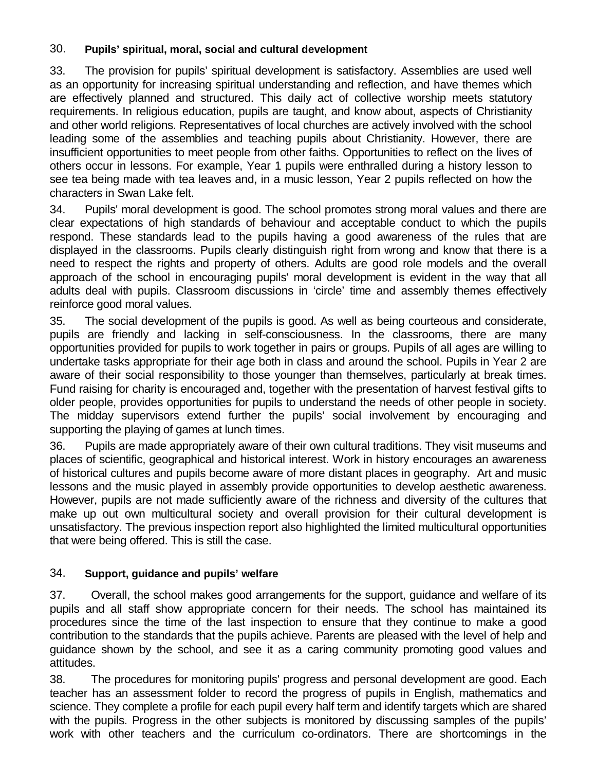## 30. **Pupils' spiritual, moral, social and cultural development**

33. The provision for pupils' spiritual development is satisfactory. Assemblies are used well as an opportunity for increasing spiritual understanding and reflection, and have themes which are effectively planned and structured. This daily act of collective worship meets statutory requirements. In religious education, pupils are taught, and know about, aspects of Christianity and other world religions. Representatives of local churches are actively involved with the school leading some of the assemblies and teaching pupils about Christianity. However, there are insufficient opportunities to meet people from other faiths. Opportunities to reflect on the lives of others occur in lessons. For example, Year 1 pupils were enthralled during a history lesson to see tea being made with tea leaves and, in a music lesson, Year 2 pupils reflected on how the characters in Swan Lake felt.

34. Pupils' moral development is good. The school promotes strong moral values and there are clear expectations of high standards of behaviour and acceptable conduct to which the pupils respond. These standards lead to the pupils having a good awareness of the rules that are displayed in the classrooms. Pupils clearly distinguish right from wrong and know that there is a need to respect the rights and property of others. Adults are good role models and the overall approach of the school in encouraging pupils' moral development is evident in the way that all adults deal with pupils. Classroom discussions in 'circle' time and assembly themes effectively reinforce good moral values.

35. The social development of the pupils is good. As well as being courteous and considerate, pupils are friendly and lacking in self-consciousness. In the classrooms, there are many opportunities provided for pupils to work together in pairs or groups. Pupils of all ages are willing to undertake tasks appropriate for their age both in class and around the school. Pupils in Year 2 are aware of their social responsibility to those younger than themselves, particularly at break times. Fund raising for charity is encouraged and, together with the presentation of harvest festival gifts to older people, provides opportunities for pupils to understand the needs of other people in society. The midday supervisors extend further the pupils' social involvement by encouraging and supporting the playing of games at lunch times.

36. Pupils are made appropriately aware of their own cultural traditions. They visit museums and places of scientific, geographical and historical interest. Work in history encourages an awareness of historical cultures and pupils become aware of more distant places in geography. Art and music lessons and the music played in assembly provide opportunities to develop aesthetic awareness. However, pupils are not made sufficiently aware of the richness and diversity of the cultures that make up out own multicultural society and overall provision for their cultural development is unsatisfactory. The previous inspection report also highlighted the limited multicultural opportunities that were being offered. This is still the case.

## 34. **Support, guidance and pupils' welfare**

37. Overall, the school makes good arrangements for the support, guidance and welfare of its pupils and all staff show appropriate concern for their needs. The school has maintained its procedures since the time of the last inspection to ensure that they continue to make a good contribution to the standards that the pupils achieve. Parents are pleased with the level of help and guidance shown by the school, and see it as a caring community promoting good values and attitudes.

38. The procedures for monitoring pupils' progress and personal development are good. Each teacher has an assessment folder to record the progress of pupils in English, mathematics and science. They complete a profile for each pupil every half term and identify targets which are shared with the pupils. Progress in the other subjects is monitored by discussing samples of the pupils' work with other teachers and the curriculum co-ordinators. There are shortcomings in the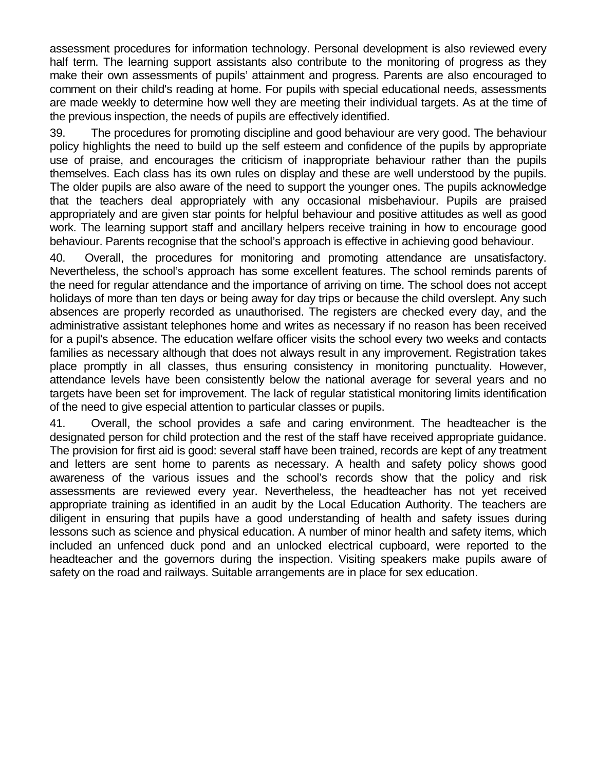assessment procedures for information technology. Personal development is also reviewed every half term. The learning support assistants also contribute to the monitoring of progress as they make their own assessments of pupils' attainment and progress. Parents are also encouraged to comment on their child's reading at home. For pupils with special educational needs, assessments are made weekly to determine how well they are meeting their individual targets. As at the time of the previous inspection, the needs of pupils are effectively identified.

39. The procedures for promoting discipline and good behaviour are very good. The behaviour policy highlights the need to build up the self esteem and confidence of the pupils by appropriate use of praise, and encourages the criticism of inappropriate behaviour rather than the pupils themselves. Each class has its own rules on display and these are well understood by the pupils. The older pupils are also aware of the need to support the younger ones. The pupils acknowledge that the teachers deal appropriately with any occasional misbehaviour. Pupils are praised appropriately and are given star points for helpful behaviour and positive attitudes as well as good work. The learning support staff and ancillary helpers receive training in how to encourage good behaviour. Parents recognise that the school's approach is effective in achieving good behaviour.

40. Overall, the procedures for monitoring and promoting attendance are unsatisfactory. Nevertheless, the school's approach has some excellent features. The school reminds parents of the need for regular attendance and the importance of arriving on time. The school does not accept holidays of more than ten days or being away for day trips or because the child overslept. Any such absences are properly recorded as unauthorised. The registers are checked every day, and the administrative assistant telephones home and writes as necessary if no reason has been received for a pupil's absence. The education welfare officer visits the school every two weeks and contacts families as necessary although that does not always result in any improvement. Registration takes place promptly in all classes, thus ensuring consistency in monitoring punctuality. However, attendance levels have been consistently below the national average for several years and no targets have been set for improvement. The lack of regular statistical monitoring limits identification of the need to give especial attention to particular classes or pupils.

41. Overall, the school provides a safe and caring environment. The headteacher is the designated person for child protection and the rest of the staff have received appropriate guidance. The provision for first aid is good: several staff have been trained, records are kept of any treatment and letters are sent home to parents as necessary. A health and safety policy shows good awareness of the various issues and the school's records show that the policy and risk assessments are reviewed every year. Nevertheless, the headteacher has not yet received appropriate training as identified in an audit by the Local Education Authority. The teachers are diligent in ensuring that pupils have a good understanding of health and safety issues during lessons such as science and physical education. A number of minor health and safety items, which included an unfenced duck pond and an unlocked electrical cupboard, were reported to the headteacher and the governors during the inspection. Visiting speakers make pupils aware of safety on the road and railways. Suitable arrangements are in place for sex education.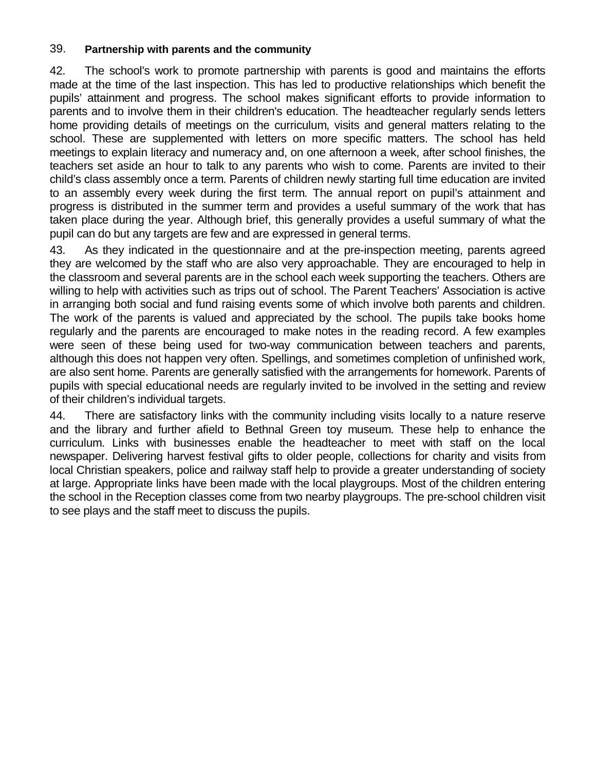#### 39. **Partnership with parents and the community**

42. The school's work to promote partnership with parents is good and maintains the efforts made at the time of the last inspection. This has led to productive relationships which benefit the pupils' attainment and progress. The school makes significant efforts to provide information to parents and to involve them in their children's education. The headteacher regularly sends letters home providing details of meetings on the curriculum, visits and general matters relating to the school. These are supplemented with letters on more specific matters. The school has held meetings to explain literacy and numeracy and, on one afternoon a week, after school finishes, the teachers set aside an hour to talk to any parents who wish to come. Parents are invited to their child's class assembly once a term. Parents of children newly starting full time education are invited to an assembly every week during the first term. The annual report on pupil's attainment and progress is distributed in the summer term and provides a useful summary of the work that has taken place during the year. Although brief, this generally provides a useful summary of what the pupil can do but any targets are few and are expressed in general terms.

43. As they indicated in the questionnaire and at the pre-inspection meeting, parents agreed they are welcomed by the staff who are also very approachable. They are encouraged to help in the classroom and several parents are in the school each week supporting the teachers. Others are willing to help with activities such as trips out of school. The Parent Teachers' Association is active in arranging both social and fund raising events some of which involve both parents and children. The work of the parents is valued and appreciated by the school. The pupils take books home regularly and the parents are encouraged to make notes in the reading record. A few examples were seen of these being used for two-way communication between teachers and parents, although this does not happen very often. Spellings, and sometimes completion of unfinished work, are also sent home. Parents are generally satisfied with the arrangements for homework. Parents of pupils with special educational needs are regularly invited to be involved in the setting and review of their children's individual targets.

44. There are satisfactory links with the community including visits locally to a nature reserve and the library and further afield to Bethnal Green toy museum. These help to enhance the curriculum. Links with businesses enable the headteacher to meet with staff on the local newspaper. Delivering harvest festival gifts to older people, collections for charity and visits from local Christian speakers, police and railway staff help to provide a greater understanding of society at large. Appropriate links have been made with the local playgroups. Most of the children entering the school in the Reception classes come from two nearby playgroups. The pre-school children visit to see plays and the staff meet to discuss the pupils.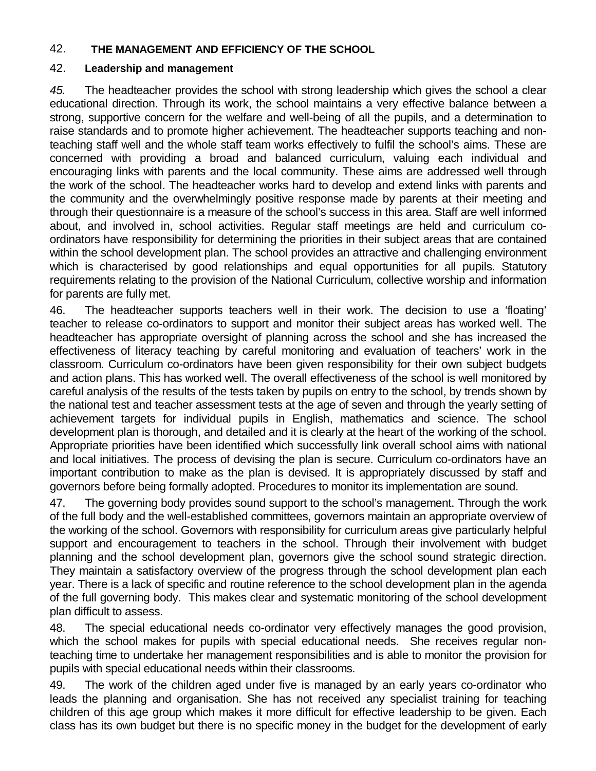#### 42. **THE MANAGEMENT AND EFFICIENCY OF THE SCHOOL**

#### 42. **Leadership and management**

*45.* The headteacher provides the school with strong leadership which gives the school a clear educational direction. Through its work, the school maintains a very effective balance between a strong, supportive concern for the welfare and well-being of all the pupils, and a determination to raise standards and to promote higher achievement. The headteacher supports teaching and nonteaching staff well and the whole staff team works effectively to fulfil the school's aims. These are concerned with providing a broad and balanced curriculum, valuing each individual and encouraging links with parents and the local community. These aims are addressed well through the work of the school. The headteacher works hard to develop and extend links with parents and the community and the overwhelmingly positive response made by parents at their meeting and through their questionnaire is a measure of the school's success in this area. Staff are well informed about, and involved in, school activities. Regular staff meetings are held and curriculum coordinators have responsibility for determining the priorities in their subject areas that are contained within the school development plan. The school provides an attractive and challenging environment which is characterised by good relationships and equal opportunities for all pupils. Statutory requirements relating to the provision of the National Curriculum, collective worship and information for parents are fully met.

46. The headteacher supports teachers well in their work. The decision to use a 'floating' teacher to release co-ordinators to support and monitor their subject areas has worked well. The headteacher has appropriate oversight of planning across the school and she has increased the effectiveness of literacy teaching by careful monitoring and evaluation of teachers' work in the classroom. Curriculum co-ordinators have been given responsibility for their own subject budgets and action plans. This has worked well. The overall effectiveness of the school is well monitored by careful analysis of the results of the tests taken by pupils on entry to the school, by trends shown by the national test and teacher assessment tests at the age of seven and through the yearly setting of achievement targets for individual pupils in English, mathematics and science. The school development plan is thorough, and detailed and it is clearly at the heart of the working of the school. Appropriate priorities have been identified which successfully link overall school aims with national and local initiatives. The process of devising the plan is secure. Curriculum co-ordinators have an important contribution to make as the plan is devised. It is appropriately discussed by staff and governors before being formally adopted. Procedures to monitor its implementation are sound.

47. The governing body provides sound support to the school's management. Through the work of the full body and the well-established committees, governors maintain an appropriate overview of the working of the school. Governors with responsibility for curriculum areas give particularly helpful support and encouragement to teachers in the school. Through their involvement with budget planning and the school development plan, governors give the school sound strategic direction. They maintain a satisfactory overview of the progress through the school development plan each year. There is a lack of specific and routine reference to the school development plan in the agenda of the full governing body. This makes clear and systematic monitoring of the school development plan difficult to assess.

48. The special educational needs co-ordinator very effectively manages the good provision, which the school makes for pupils with special educational needs. She receives regular nonteaching time to undertake her management responsibilities and is able to monitor the provision for pupils with special educational needs within their classrooms.

49. The work of the children aged under five is managed by an early years co-ordinator who leads the planning and organisation. She has not received any specialist training for teaching children of this age group which makes it more difficult for effective leadership to be given. Each class has its own budget but there is no specific money in the budget for the development of early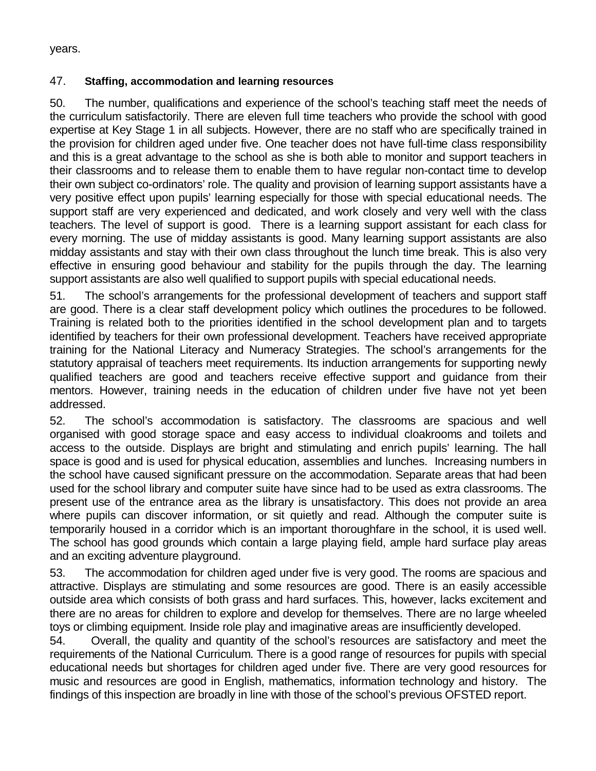years.

#### 47. **Staffing, accommodation and learning resources**

50. The number, qualifications and experience of the school's teaching staff meet the needs of the curriculum satisfactorily. There are eleven full time teachers who provide the school with good expertise at Key Stage 1 in all subjects. However, there are no staff who are specifically trained in the provision for children aged under five. One teacher does not have full-time class responsibility and this is a great advantage to the school as she is both able to monitor and support teachers in their classrooms and to release them to enable them to have regular non-contact time to develop their own subject co-ordinators' role. The quality and provision of learning support assistants have a very positive effect upon pupils' learning especially for those with special educational needs. The support staff are very experienced and dedicated, and work closely and very well with the class teachers. The level of support is good. There is a learning support assistant for each class for every morning. The use of midday assistants is good. Many learning support assistants are also midday assistants and stay with their own class throughout the lunch time break. This is also very effective in ensuring good behaviour and stability for the pupils through the day. The learning support assistants are also well qualified to support pupils with special educational needs.

51. The school's arrangements for the professional development of teachers and support staff are good. There is a clear staff development policy which outlines the procedures to be followed. Training is related both to the priorities identified in the school development plan and to targets identified by teachers for their own professional development. Teachers have received appropriate training for the National Literacy and Numeracy Strategies. The school's arrangements for the statutory appraisal of teachers meet requirements. Its induction arrangements for supporting newly qualified teachers are good and teachers receive effective support and guidance from their mentors. However, training needs in the education of children under five have not yet been addressed.

52. The school's accommodation is satisfactory. The classrooms are spacious and well organised with good storage space and easy access to individual cloakrooms and toilets and access to the outside. Displays are bright and stimulating and enrich pupils' learning. The hall space is good and is used for physical education, assemblies and lunches. Increasing numbers in the school have caused significant pressure on the accommodation. Separate areas that had been used for the school library and computer suite have since had to be used as extra classrooms. The present use of the entrance area as the library is unsatisfactory. This does not provide an area where pupils can discover information, or sit quietly and read. Although the computer suite is temporarily housed in a corridor which is an important thoroughfare in the school, it is used well. The school has good grounds which contain a large playing field, ample hard surface play areas and an exciting adventure playground.

53. The accommodation for children aged under five is very good. The rooms are spacious and attractive. Displays are stimulating and some resources are good. There is an easily accessible outside area which consists of both grass and hard surfaces. This, however, lacks excitement and there are no areas for children to explore and develop for themselves. There are no large wheeled toys or climbing equipment. Inside role play and imaginative areas are insufficiently developed.

54. Overall, the quality and quantity of the school's resources are satisfactory and meet the requirements of the National Curriculum. There is a good range of resources for pupils with special educational needs but shortages for children aged under five. There are very good resources for music and resources are good in English, mathematics, information technology and history. The findings of this inspection are broadly in line with those of the school's previous OFSTED report.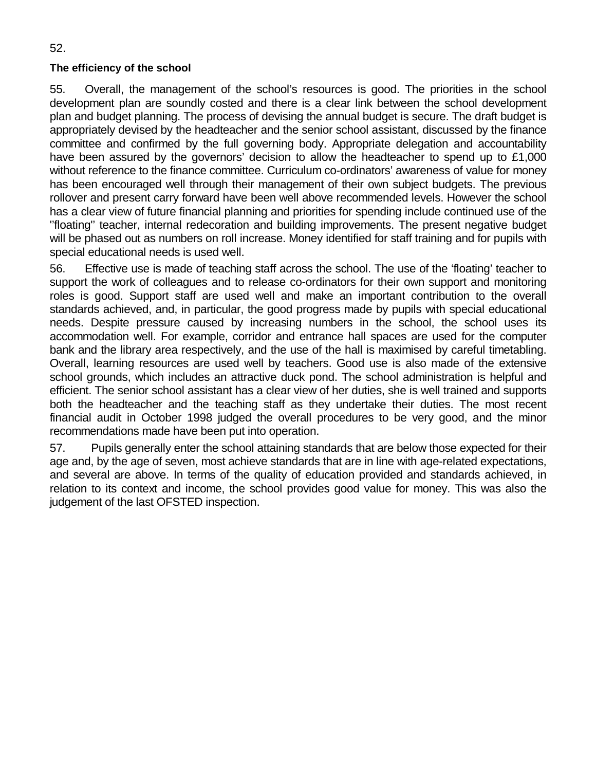#### **The efficiency of the school**

55. Overall, the management of the school's resources is good. The priorities in the school development plan are soundly costed and there is a clear link between the school development plan and budget planning. The process of devising the annual budget is secure. The draft budget is appropriately devised by the headteacher and the senior school assistant, discussed by the finance committee and confirmed by the full governing body. Appropriate delegation and accountability have been assured by the governors' decision to allow the headteacher to spend up to £1,000 without reference to the finance committee. Curriculum co-ordinators' awareness of value for money has been encouraged well through their management of their own subject budgets. The previous rollover and present carry forward have been well above recommended levels. However the school has a clear view of future financial planning and priorities for spending include continued use of the ''floating'' teacher, internal redecoration and building improvements. The present negative budget will be phased out as numbers on roll increase. Money identified for staff training and for pupils with special educational needs is used well.

56. Effective use is made of teaching staff across the school. The use of the 'floating' teacher to support the work of colleagues and to release co-ordinators for their own support and monitoring roles is good. Support staff are used well and make an important contribution to the overall standards achieved, and, in particular, the good progress made by pupils with special educational needs. Despite pressure caused by increasing numbers in the school, the school uses its accommodation well. For example, corridor and entrance hall spaces are used for the computer bank and the library area respectively, and the use of the hall is maximised by careful timetabling. Overall, learning resources are used well by teachers. Good use is also made of the extensive school grounds, which includes an attractive duck pond. The school administration is helpful and efficient. The senior school assistant has a clear view of her duties, she is well trained and supports both the headteacher and the teaching staff as they undertake their duties. The most recent financial audit in October 1998 judged the overall procedures to be very good, and the minor recommendations made have been put into operation.

57. Pupils generally enter the school attaining standards that are below those expected for their age and, by the age of seven, most achieve standards that are in line with age-related expectations, and several are above. In terms of the quality of education provided and standards achieved, in relation to its context and income, the school provides good value for money. This was also the judgement of the last OFSTED inspection.

52.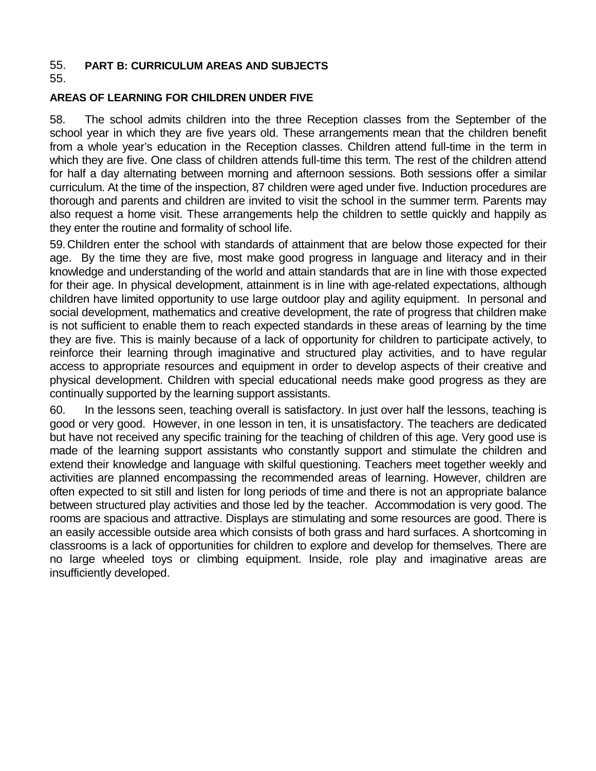#### 55. **PART B: CURRICULUM AREAS AND SUBJECTS**

55.

#### **AREAS OF LEARNING FOR CHILDREN UNDER FIVE**

58. The school admits children into the three Reception classes from the September of the school year in which they are five years old. These arrangements mean that the children benefit from a whole year's education in the Reception classes. Children attend full-time in the term in which they are five. One class of children attends full-time this term. The rest of the children attend for half a day alternating between morning and afternoon sessions. Both sessions offer a similar curriculum. At the time of the inspection, 87 children were aged under five. Induction procedures are thorough and parents and children are invited to visit the school in the summer term. Parents may also request a home visit. These arrangements help the children to settle quickly and happily as they enter the routine and formality of school life.

59.Children enter the school with standards of attainment that are below those expected for their age. By the time they are five, most make good progress in language and literacy and in their knowledge and understanding of the world and attain standards that are in line with those expected for their age. In physical development, attainment is in line with age-related expectations, although children have limited opportunity to use large outdoor play and agility equipment. In personal and social development, mathematics and creative development, the rate of progress that children make is not sufficient to enable them to reach expected standards in these areas of learning by the time they are five. This is mainly because of a lack of opportunity for children to participate actively, to reinforce their learning through imaginative and structured play activities, and to have regular access to appropriate resources and equipment in order to develop aspects of their creative and physical development. Children with special educational needs make good progress as they are continually supported by the learning support assistants.

60. In the lessons seen, teaching overall is satisfactory. In just over half the lessons, teaching is good or very good. However, in one lesson in ten, it is unsatisfactory. The teachers are dedicated but have not received any specific training for the teaching of children of this age. Very good use is made of the learning support assistants who constantly support and stimulate the children and extend their knowledge and language with skilful questioning. Teachers meet together weekly and activities are planned encompassing the recommended areas of learning. However, children are often expected to sit still and listen for long periods of time and there is not an appropriate balance between structured play activities and those led by the teacher. Accommodation is very good. The rooms are spacious and attractive. Displays are stimulating and some resources are good. There is an easily accessible outside area which consists of both grass and hard surfaces. A shortcoming in classrooms is a lack of opportunities for children to explore and develop for themselves. There are no large wheeled toys or climbing equipment. Inside, role play and imaginative areas are insufficiently developed.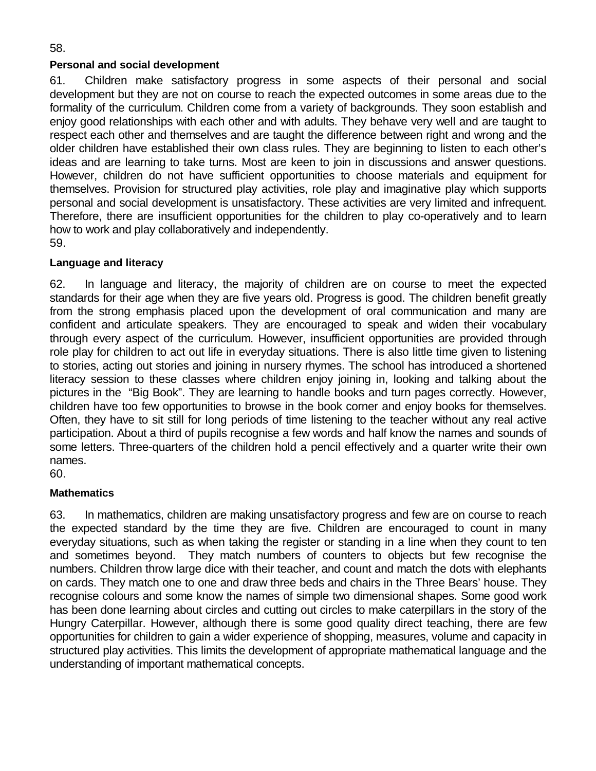## **Personal and social development**

61. Children make satisfactory progress in some aspects of their personal and social development but they are not on course to reach the expected outcomes in some areas due to the formality of the curriculum. Children come from a variety of backgrounds. They soon establish and enjoy good relationships with each other and with adults. They behave very well and are taught to respect each other and themselves and are taught the difference between right and wrong and the older children have established their own class rules. They are beginning to listen to each other's ideas and are learning to take turns. Most are keen to join in discussions and answer questions. However, children do not have sufficient opportunities to choose materials and equipment for themselves. Provision for structured play activities, role play and imaginative play which supports personal and social development is unsatisfactory. These activities are very limited and infrequent. Therefore, there are insufficient opportunities for the children to play co-operatively and to learn how to work and play collaboratively and independently. 59.

## **Language and literacy**

62. In language and literacy, the majority of children are on course to meet the expected standards for their age when they are five years old. Progress is good. The children benefit greatly from the strong emphasis placed upon the development of oral communication and many are confident and articulate speakers. They are encouraged to speak and widen their vocabulary through every aspect of the curriculum. However, insufficient opportunities are provided through role play for children to act out life in everyday situations. There is also little time given to listening to stories, acting out stories and joining in nursery rhymes. The school has introduced a shortened literacy session to these classes where children enjoy joining in, looking and talking about the pictures in the "Big Book". They are learning to handle books and turn pages correctly. However, children have too few opportunities to browse in the book corner and enjoy books for themselves. Often, they have to sit still for long periods of time listening to the teacher without any real active participation. About a third of pupils recognise a few words and half know the names and sounds of some letters. Three-quarters of the children hold a pencil effectively and a quarter write their own names.

60.

#### **Mathematics**

63. In mathematics, children are making unsatisfactory progress and few are on course to reach the expected standard by the time they are five. Children are encouraged to count in many everyday situations, such as when taking the register or standing in a line when they count to ten and sometimes beyond. They match numbers of counters to objects but few recognise the numbers. Children throw large dice with their teacher, and count and match the dots with elephants on cards. They match one to one and draw three beds and chairs in the Three Bears' house. They recognise colours and some know the names of simple two dimensional shapes. Some good work has been done learning about circles and cutting out circles to make caterpillars in the story of the Hungry Caterpillar. However, although there is some good quality direct teaching, there are few opportunities for children to gain a wider experience of shopping, measures, volume and capacity in structured play activities. This limits the development of appropriate mathematical language and the understanding of important mathematical concepts.

58.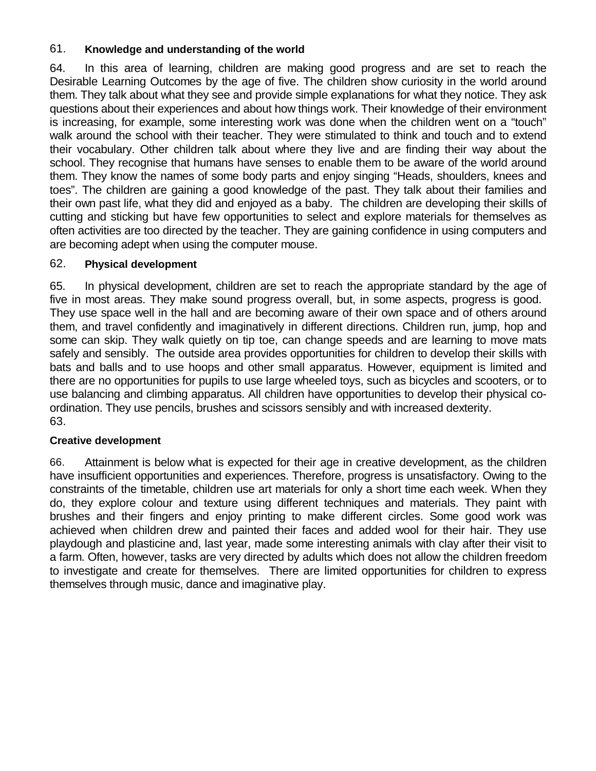## 61. **Knowledge and understanding of the world**

64. In this area of learning, children are making good progress and are set to reach the Desirable Learning Outcomes by the age of five. The children show curiosity in the world around them. They talk about what they see and provide simple explanations for what they notice. They ask questions about their experiences and about how things work. Their knowledge of their environment is increasing, for example, some interesting work was done when the children went on a "touch" walk around the school with their teacher. They were stimulated to think and touch and to extend their vocabulary. Other children talk about where they live and are finding their way about the school. They recognise that humans have senses to enable them to be aware of the world around them. They know the names of some body parts and enjoy singing "Heads, shoulders, knees and toes". The children are gaining a good knowledge of the past. They talk about their families and their own past life, what they did and enjoyed as a baby. The children are developing their skills of cutting and sticking but have few opportunities to select and explore materials for themselves as often activities are too directed by the teacher. They are gaining confidence in using computers and are becoming adept when using the computer mouse.

## 62. **Physical development**

65. In physical development, children are set to reach the appropriate standard by the age of five in most areas. They make sound progress overall, but, in some aspects, progress is good. They use space well in the hall and are becoming aware of their own space and of others around them, and travel confidently and imaginatively in different directions. Children run, jump, hop and some can skip. They walk quietly on tip toe, can change speeds and are learning to move mats safely and sensibly. The outside area provides opportunities for children to develop their skills with bats and balls and to use hoops and other small apparatus. However, equipment is limited and there are no opportunities for pupils to use large wheeled toys, such as bicycles and scooters, or to use balancing and climbing apparatus. All children have opportunities to develop their physical coordination. They use pencils, brushes and scissors sensibly and with increased dexterity. 63.

## **Creative development**

66. Attainment is below what is expected for their age in creative development, as the children have insufficient opportunities and experiences. Therefore, progress is unsatisfactory. Owing to the constraints of the timetable, children use art materials for only a short time each week. When they do, they explore colour and texture using different techniques and materials. They paint with brushes and their fingers and enjoy printing to make different circles. Some good work was achieved when children drew and painted their faces and added wool for their hair. They use playdough and plasticine and, last year, made some interesting animals with clay after their visit to a farm. Often, however, tasks are very directed by adults which does not allow the children freedom to investigate and create for themselves. There are limited opportunities for children to express themselves through music, dance and imaginative play.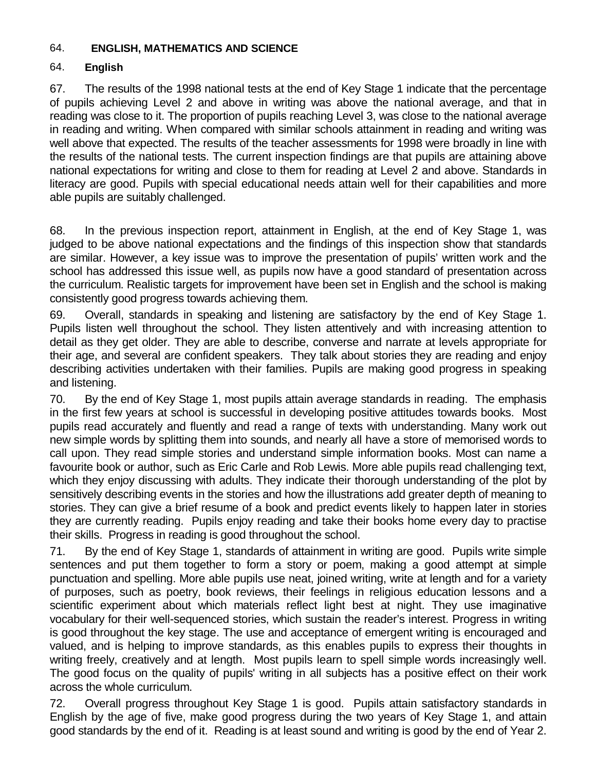#### 64. **ENGLISH, MATHEMATICS AND SCIENCE**

#### 64. **English**

67. The results of the 1998 national tests at the end of Key Stage 1 indicate that the percentage of pupils achieving Level 2 and above in writing was above the national average, and that in reading was close to it. The proportion of pupils reaching Level 3, was close to the national average in reading and writing. When compared with similar schools attainment in reading and writing was well above that expected. The results of the teacher assessments for 1998 were broadly in line with the results of the national tests. The current inspection findings are that pupils are attaining above national expectations for writing and close to them for reading at Level 2 and above. Standards in literacy are good. Pupils with special educational needs attain well for their capabilities and more able pupils are suitably challenged.

68. In the previous inspection report, attainment in English, at the end of Key Stage 1, was judged to be above national expectations and the findings of this inspection show that standards are similar. However, a key issue was to improve the presentation of pupils' written work and the school has addressed this issue well, as pupils now have a good standard of presentation across the curriculum. Realistic targets for improvement have been set in English and the school is making consistently good progress towards achieving them.

69. Overall, standards in speaking and listening are satisfactory by the end of Key Stage 1. Pupils listen well throughout the school. They listen attentively and with increasing attention to detail as they get older. They are able to describe, converse and narrate at levels appropriate for their age, and several are confident speakers. They talk about stories they are reading and enjoy describing activities undertaken with their families. Pupils are making good progress in speaking and listening.

70. By the end of Key Stage 1, most pupils attain average standards in reading. The emphasis in the first few years at school is successful in developing positive attitudes towards books. Most pupils read accurately and fluently and read a range of texts with understanding. Many work out new simple words by splitting them into sounds, and nearly all have a store of memorised words to call upon. They read simple stories and understand simple information books. Most can name a favourite book or author, such as Eric Carle and Rob Lewis. More able pupils read challenging text, which they enjoy discussing with adults. They indicate their thorough understanding of the plot by sensitively describing events in the stories and how the illustrations add greater depth of meaning to stories. They can give a brief resume of a book and predict events likely to happen later in stories they are currently reading. Pupils enjoy reading and take their books home every day to practise their skills. Progress in reading is good throughout the school.

71. By the end of Key Stage 1, standards of attainment in writing are good. Pupils write simple sentences and put them together to form a story or poem, making a good attempt at simple punctuation and spelling. More able pupils use neat, joined writing, write at length and for a variety of purposes, such as poetry, book reviews, their feelings in religious education lessons and a scientific experiment about which materials reflect light best at night. They use imaginative vocabulary for their well-sequenced stories, which sustain the reader's interest. Progress in writing is good throughout the key stage. The use and acceptance of emergent writing is encouraged and valued, and is helping to improve standards, as this enables pupils to express their thoughts in writing freely, creatively and at length. Most pupils learn to spell simple words increasingly well. The good focus on the quality of pupils' writing in all subjects has a positive effect on their work across the whole curriculum.

72. Overall progress throughout Key Stage 1 is good. Pupils attain satisfactory standards in English by the age of five, make good progress during the two years of Key Stage 1, and attain good standards by the end of it. Reading is at least sound and writing is good by the end of Year 2.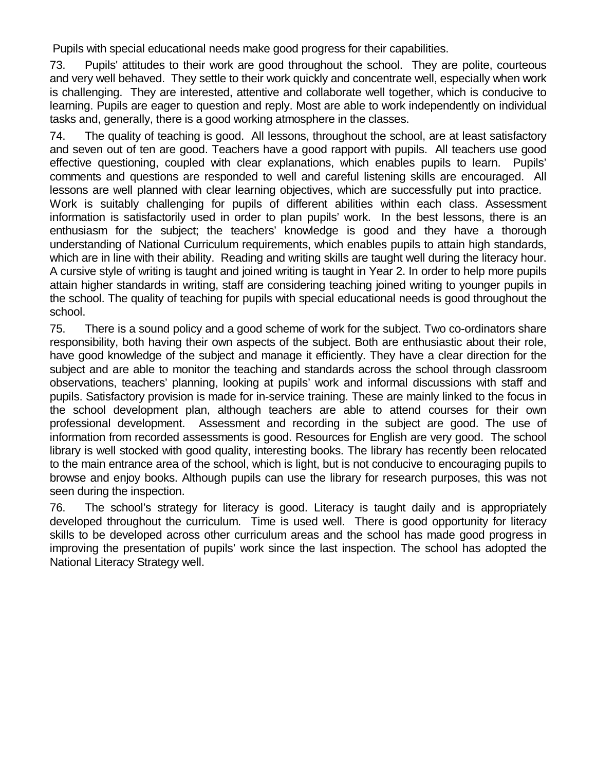Pupils with special educational needs make good progress for their capabilities.

73. Pupils' attitudes to their work are good throughout the school. They are polite, courteous and very well behaved. They settle to their work quickly and concentrate well, especially when work is challenging. They are interested, attentive and collaborate well together, which is conducive to learning. Pupils are eager to question and reply. Most are able to work independently on individual tasks and, generally, there is a good working atmosphere in the classes.

74. The quality of teaching is good. All lessons, throughout the school, are at least satisfactory and seven out of ten are good. Teachers have a good rapport with pupils. All teachers use good effective questioning, coupled with clear explanations, which enables pupils to learn. Pupils' comments and questions are responded to well and careful listening skills are encouraged. All lessons are well planned with clear learning objectives, which are successfully put into practice. Work is suitably challenging for pupils of different abilities within each class. Assessment information is satisfactorily used in order to plan pupils' work. In the best lessons, there is an enthusiasm for the subject; the teachers' knowledge is good and they have a thorough understanding of National Curriculum requirements, which enables pupils to attain high standards, which are in line with their ability. Reading and writing skills are taught well during the literacy hour. A cursive style of writing is taught and joined writing is taught in Year 2. In order to help more pupils attain higher standards in writing, staff are considering teaching joined writing to younger pupils in the school. The quality of teaching for pupils with special educational needs is good throughout the school.

75. There is a sound policy and a good scheme of work for the subject. Two co-ordinators share responsibility, both having their own aspects of the subject. Both are enthusiastic about their role, have good knowledge of the subject and manage it efficiently. They have a clear direction for the subject and are able to monitor the teaching and standards across the school through classroom observations, teachers' planning, looking at pupils' work and informal discussions with staff and pupils. Satisfactory provision is made for in-service training. These are mainly linked to the focus in the school development plan, although teachers are able to attend courses for their own professional development. Assessment and recording in the subject are good. The use of information from recorded assessments is good. Resources for English are very good. The school library is well stocked with good quality, interesting books. The library has recently been relocated to the main entrance area of the school, which is light, but is not conducive to encouraging pupils to browse and enjoy books. Although pupils can use the library for research purposes, this was not seen during the inspection.

76. The school's strategy for literacy is good. Literacy is taught daily and is appropriately developed throughout the curriculum. Time is used well. There is good opportunity for literacy skills to be developed across other curriculum areas and the school has made good progress in improving the presentation of pupils' work since the last inspection. The school has adopted the National Literacy Strategy well.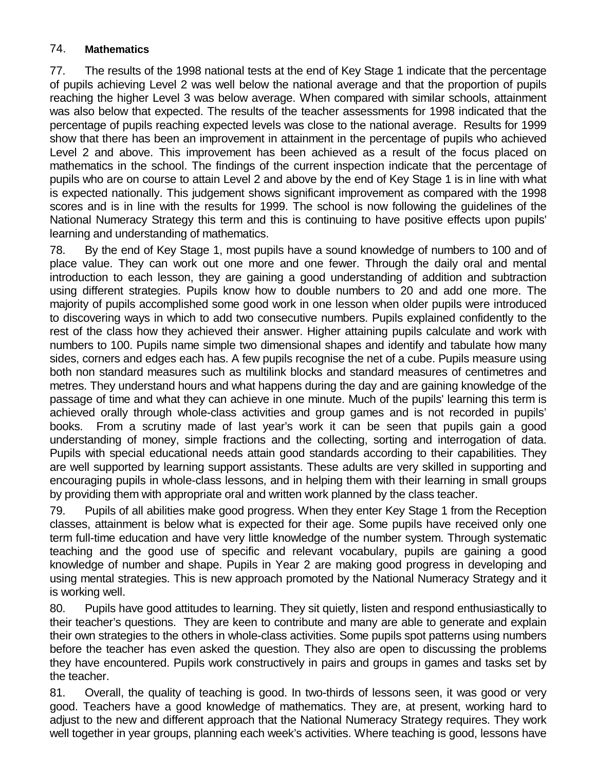## 74. **Mathematics**

77. The results of the 1998 national tests at the end of Key Stage 1 indicate that the percentage of pupils achieving Level 2 was well below the national average and that the proportion of pupils reaching the higher Level 3 was below average. When compared with similar schools, attainment was also below that expected. The results of the teacher assessments for 1998 indicated that the percentage of pupils reaching expected levels was close to the national average. Results for 1999 show that there has been an improvement in attainment in the percentage of pupils who achieved Level 2 and above. This improvement has been achieved as a result of the focus placed on mathematics in the school. The findings of the current inspection indicate that the percentage of pupils who are on course to attain Level 2 and above by the end of Key Stage 1 is in line with what is expected nationally. This judgement shows significant improvement as compared with the 1998 scores and is in line with the results for 1999. The school is now following the guidelines of the National Numeracy Strategy this term and this is continuing to have positive effects upon pupils' learning and understanding of mathematics.

78. By the end of Key Stage 1, most pupils have a sound knowledge of numbers to 100 and of place value. They can work out one more and one fewer. Through the daily oral and mental introduction to each lesson, they are gaining a good understanding of addition and subtraction using different strategies. Pupils know how to double numbers to 20 and add one more. The majority of pupils accomplished some good work in one lesson when older pupils were introduced to discovering ways in which to add two consecutive numbers. Pupils explained confidently to the rest of the class how they achieved their answer. Higher attaining pupils calculate and work with numbers to 100. Pupils name simple two dimensional shapes and identify and tabulate how many sides, corners and edges each has. A few pupils recognise the net of a cube. Pupils measure using both non standard measures such as multilink blocks and standard measures of centimetres and metres. They understand hours and what happens during the day and are gaining knowledge of the passage of time and what they can achieve in one minute. Much of the pupils' learning this term is achieved orally through whole-class activities and group games and is not recorded in pupils' books. From a scrutiny made of last year's work it can be seen that pupils gain a good understanding of money, simple fractions and the collecting, sorting and interrogation of data. Pupils with special educational needs attain good standards according to their capabilities. They are well supported by learning support assistants. These adults are very skilled in supporting and encouraging pupils in whole-class lessons, and in helping them with their learning in small groups by providing them with appropriate oral and written work planned by the class teacher.

79. Pupils of all abilities make good progress. When they enter Key Stage 1 from the Reception classes, attainment is below what is expected for their age. Some pupils have received only one term full-time education and have very little knowledge of the number system. Through systematic teaching and the good use of specific and relevant vocabulary, pupils are gaining a good knowledge of number and shape. Pupils in Year 2 are making good progress in developing and using mental strategies. This is new approach promoted by the National Numeracy Strategy and it is working well.

80. Pupils have good attitudes to learning. They sit quietly, listen and respond enthusiastically to their teacher's questions. They are keen to contribute and many are able to generate and explain their own strategies to the others in whole-class activities. Some pupils spot patterns using numbers before the teacher has even asked the question. They also are open to discussing the problems they have encountered. Pupils work constructively in pairs and groups in games and tasks set by the teacher.

81. Overall, the quality of teaching is good. In two-thirds of lessons seen, it was good or very good. Teachers have a good knowledge of mathematics. They are, at present, working hard to adjust to the new and different approach that the National Numeracy Strategy requires. They work well together in year groups, planning each week's activities. Where teaching is good, lessons have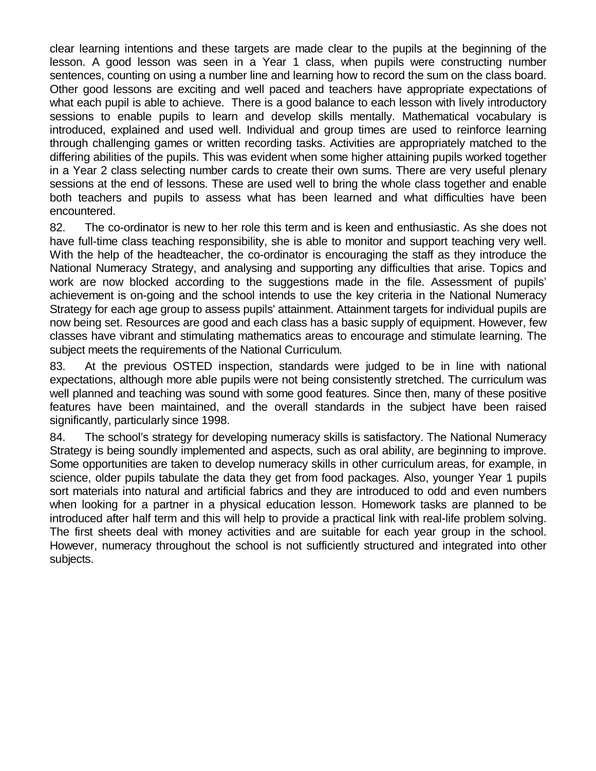clear learning intentions and these targets are made clear to the pupils at the beginning of the lesson. A good lesson was seen in a Year 1 class, when pupils were constructing number sentences, counting on using a number line and learning how to record the sum on the class board. Other good lessons are exciting and well paced and teachers have appropriate expectations of what each pupil is able to achieve. There is a good balance to each lesson with lively introductory sessions to enable pupils to learn and develop skills mentally. Mathematical vocabulary is introduced, explained and used well. Individual and group times are used to reinforce learning through challenging games or written recording tasks. Activities are appropriately matched to the differing abilities of the pupils. This was evident when some higher attaining pupils worked together in a Year 2 class selecting number cards to create their own sums. There are very useful plenary sessions at the end of lessons. These are used well to bring the whole class together and enable both teachers and pupils to assess what has been learned and what difficulties have been encountered.

82. The co-ordinator is new to her role this term and is keen and enthusiastic. As she does not have full-time class teaching responsibility, she is able to monitor and support teaching very well. With the help of the headteacher, the co-ordinator is encouraging the staff as they introduce the National Numeracy Strategy, and analysing and supporting any difficulties that arise. Topics and work are now blocked according to the suggestions made in the file. Assessment of pupils' achievement is on-going and the school intends to use the key criteria in the National Numeracy Strategy for each age group to assess pupils' attainment. Attainment targets for individual pupils are now being set. Resources are good and each class has a basic supply of equipment. However, few classes have vibrant and stimulating mathematics areas to encourage and stimulate learning. The subject meets the requirements of the National Curriculum.

83. At the previous OSTED inspection, standards were judged to be in line with national expectations, although more able pupils were not being consistently stretched. The curriculum was well planned and teaching was sound with some good features. Since then, many of these positive features have been maintained, and the overall standards in the subject have been raised significantly, particularly since 1998.

84. The school's strategy for developing numeracy skills is satisfactory. The National Numeracy Strategy is being soundly implemented and aspects, such as oral ability, are beginning to improve. Some opportunities are taken to develop numeracy skills in other curriculum areas, for example, in science, older pupils tabulate the data they get from food packages. Also, younger Year 1 pupils sort materials into natural and artificial fabrics and they are introduced to odd and even numbers when looking for a partner in a physical education lesson. Homework tasks are planned to be introduced after half term and this will help to provide a practical link with real-life problem solving. The first sheets deal with money activities and are suitable for each year group in the school. However, numeracy throughout the school is not sufficiently structured and integrated into other subjects.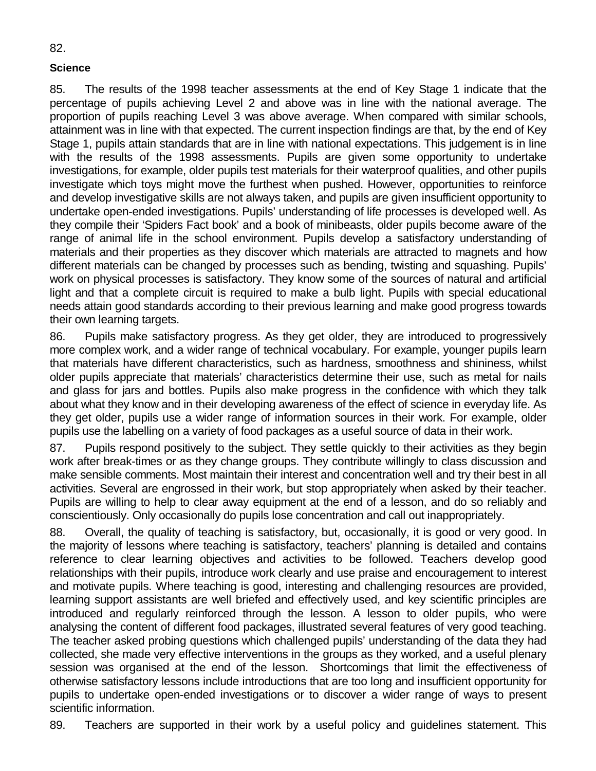#### **Science**

85. The results of the 1998 teacher assessments at the end of Key Stage 1 indicate that the percentage of pupils achieving Level 2 and above was in line with the national average. The proportion of pupils reaching Level 3 was above average. When compared with similar schools, attainment was in line with that expected. The current inspection findings are that, by the end of Key Stage 1, pupils attain standards that are in line with national expectations. This judgement is in line with the results of the 1998 assessments. Pupils are given some opportunity to undertake investigations, for example, older pupils test materials for their waterproof qualities, and other pupils investigate which toys might move the furthest when pushed. However, opportunities to reinforce and develop investigative skills are not always taken, and pupils are given insufficient opportunity to undertake open-ended investigations. Pupils' understanding of life processes is developed well. As they compile their 'Spiders Fact book' and a book of minibeasts, older pupils become aware of the range of animal life in the school environment. Pupils develop a satisfactory understanding of materials and their properties as they discover which materials are attracted to magnets and how different materials can be changed by processes such as bending, twisting and squashing. Pupils' work on physical processes is satisfactory. They know some of the sources of natural and artificial light and that a complete circuit is required to make a bulb light. Pupils with special educational needs attain good standards according to their previous learning and make good progress towards their own learning targets.

86. Pupils make satisfactory progress. As they get older, they are introduced to progressively more complex work, and a wider range of technical vocabulary. For example, younger pupils learn that materials have different characteristics, such as hardness, smoothness and shininess, whilst older pupils appreciate that materials' characteristics determine their use, such as metal for nails and glass for jars and bottles. Pupils also make progress in the confidence with which they talk about what they know and in their developing awareness of the effect of science in everyday life. As they get older, pupils use a wider range of information sources in their work. For example, older pupils use the labelling on a variety of food packages as a useful source of data in their work.

87. Pupils respond positively to the subject. They settle quickly to their activities as they begin work after break-times or as they change groups. They contribute willingly to class discussion and make sensible comments. Most maintain their interest and concentration well and try their best in all activities. Several are engrossed in their work, but stop appropriately when asked by their teacher. Pupils are willing to help to clear away equipment at the end of a lesson, and do so reliably and conscientiously. Only occasionally do pupils lose concentration and call out inappropriately.

88. Overall, the quality of teaching is satisfactory, but, occasionally, it is good or very good. In the majority of lessons where teaching is satisfactory, teachers' planning is detailed and contains reference to clear learning objectives and activities to be followed. Teachers develop good relationships with their pupils, introduce work clearly and use praise and encouragement to interest and motivate pupils. Where teaching is good, interesting and challenging resources are provided, learning support assistants are well briefed and effectively used, and key scientific principles are introduced and regularly reinforced through the lesson. A lesson to older pupils, who were analysing the content of different food packages, illustrated several features of very good teaching. The teacher asked probing questions which challenged pupils' understanding of the data they had collected, she made very effective interventions in the groups as they worked, and a useful plenary session was organised at the end of the lesson. Shortcomings that limit the effectiveness of otherwise satisfactory lessons include introductions that are too long and insufficient opportunity for pupils to undertake open-ended investigations or to discover a wider range of ways to present scientific information.

89. Teachers are supported in their work by a useful policy and guidelines statement. This

#### 82.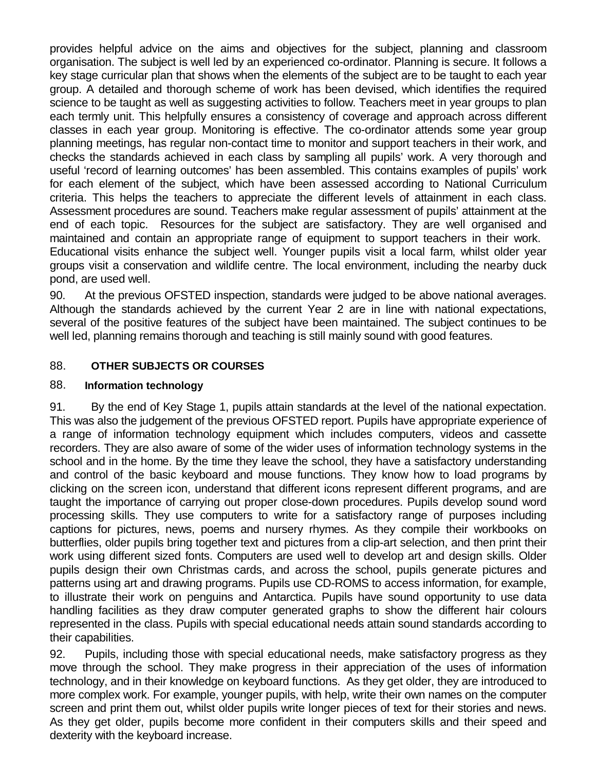provides helpful advice on the aims and objectives for the subject, planning and classroom organisation. The subject is well led by an experienced co-ordinator. Planning is secure. It follows a key stage curricular plan that shows when the elements of the subject are to be taught to each year group. A detailed and thorough scheme of work has been devised, which identifies the required science to be taught as well as suggesting activities to follow. Teachers meet in year groups to plan each termly unit. This helpfully ensures a consistency of coverage and approach across different classes in each year group. Monitoring is effective. The co-ordinator attends some year group planning meetings, has regular non-contact time to monitor and support teachers in their work, and checks the standards achieved in each class by sampling all pupils' work. A very thorough and useful 'record of learning outcomes' has been assembled. This contains examples of pupils' work for each element of the subject, which have been assessed according to National Curriculum criteria. This helps the teachers to appreciate the different levels of attainment in each class. Assessment procedures are sound. Teachers make regular assessment of pupils' attainment at the end of each topic. Resources for the subject are satisfactory. They are well organised and maintained and contain an appropriate range of equipment to support teachers in their work. Educational visits enhance the subject well. Younger pupils visit a local farm, whilst older year groups visit a conservation and wildlife centre. The local environment, including the nearby duck pond, are used well.

90. At the previous OFSTED inspection, standards were judged to be above national averages. Although the standards achieved by the current Year 2 are in line with national expectations, several of the positive features of the subject have been maintained. The subject continues to be well led, planning remains thorough and teaching is still mainly sound with good features.

## 88. **OTHER SUBJECTS OR COURSES**

## 88. **Information technology**

91. By the end of Key Stage 1, pupils attain standards at the level of the national expectation. This was also the judgement of the previous OFSTED report. Pupils have appropriate experience of a range of information technology equipment which includes computers, videos and cassette recorders. They are also aware of some of the wider uses of information technology systems in the school and in the home. By the time they leave the school, they have a satisfactory understanding and control of the basic keyboard and mouse functions. They know how to load programs by clicking on the screen icon, understand that different icons represent different programs, and are taught the importance of carrying out proper close-down procedures. Pupils develop sound word processing skills. They use computers to write for a satisfactory range of purposes including captions for pictures, news, poems and nursery rhymes. As they compile their workbooks on butterflies, older pupils bring together text and pictures from a clip-art selection, and then print their work using different sized fonts. Computers are used well to develop art and design skills. Older pupils design their own Christmas cards, and across the school, pupils generate pictures and patterns using art and drawing programs. Pupils use CD-ROMS to access information, for example, to illustrate their work on penguins and Antarctica. Pupils have sound opportunity to use data handling facilities as they draw computer generated graphs to show the different hair colours represented in the class. Pupils with special educational needs attain sound standards according to their capabilities.

92. Pupils, including those with special educational needs, make satisfactory progress as they move through the school. They make progress in their appreciation of the uses of information technology, and in their knowledge on keyboard functions. As they get older, they are introduced to more complex work. For example, younger pupils, with help, write their own names on the computer screen and print them out, whilst older pupils write longer pieces of text for their stories and news. As they get older, pupils become more confident in their computers skills and their speed and dexterity with the keyboard increase.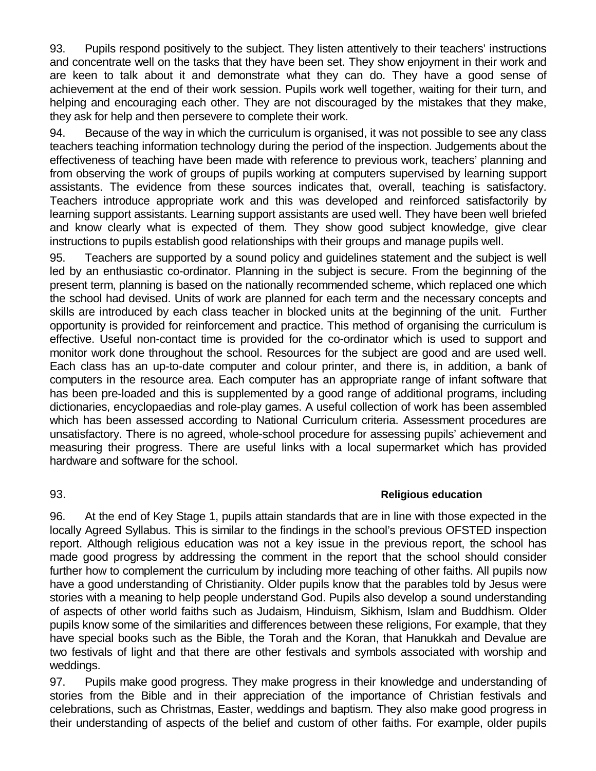93. Pupils respond positively to the subject. They listen attentively to their teachers' instructions and concentrate well on the tasks that they have been set. They show enjoyment in their work and are keen to talk about it and demonstrate what they can do. They have a good sense of achievement at the end of their work session. Pupils work well together, waiting for their turn, and helping and encouraging each other. They are not discouraged by the mistakes that they make, they ask for help and then persevere to complete their work.

94. Because of the way in which the curriculum is organised, it was not possible to see any class teachers teaching information technology during the period of the inspection. Judgements about the effectiveness of teaching have been made with reference to previous work, teachers' planning and from observing the work of groups of pupils working at computers supervised by learning support assistants. The evidence from these sources indicates that, overall, teaching is satisfactory. Teachers introduce appropriate work and this was developed and reinforced satisfactorily by learning support assistants. Learning support assistants are used well. They have been well briefed and know clearly what is expected of them. They show good subject knowledge, give clear instructions to pupils establish good relationships with their groups and manage pupils well.

95. Teachers are supported by a sound policy and guidelines statement and the subject is well led by an enthusiastic co-ordinator. Planning in the subject is secure. From the beginning of the present term, planning is based on the nationally recommended scheme, which replaced one which the school had devised. Units of work are planned for each term and the necessary concepts and skills are introduced by each class teacher in blocked units at the beginning of the unit. Further opportunity is provided for reinforcement and practice. This method of organising the curriculum is effective. Useful non-contact time is provided for the co-ordinator which is used to support and monitor work done throughout the school. Resources for the subject are good and are used well. Each class has an up-to-date computer and colour printer, and there is, in addition, a bank of computers in the resource area. Each computer has an appropriate range of infant software that has been pre-loaded and this is supplemented by a good range of additional programs, including dictionaries, encyclopaedias and role-play games. A useful collection of work has been assembled which has been assessed according to National Curriculum criteria. Assessment procedures are unsatisfactory. There is no agreed, whole-school procedure for assessing pupils' achievement and measuring their progress. There are useful links with a local supermarket which has provided hardware and software for the school.

#### 93. **Religious education**

96. At the end of Key Stage 1, pupils attain standards that are in line with those expected in the locally Agreed Syllabus. This is similar to the findings in the school's previous OFSTED inspection report. Although religious education was not a key issue in the previous report, the school has made good progress by addressing the comment in the report that the school should consider further how to complement the curriculum by including more teaching of other faiths. All pupils now have a good understanding of Christianity. Older pupils know that the parables told by Jesus were stories with a meaning to help people understand God. Pupils also develop a sound understanding of aspects of other world faiths such as Judaism, Hinduism, Sikhism, Islam and Buddhism. Older pupils know some of the similarities and differences between these religions, For example, that they have special books such as the Bible, the Torah and the Koran, that Hanukkah and Devalue are two festivals of light and that there are other festivals and symbols associated with worship and weddings.

97. Pupils make good progress. They make progress in their knowledge and understanding of stories from the Bible and in their appreciation of the importance of Christian festivals and celebrations, such as Christmas, Easter, weddings and baptism. They also make good progress in their understanding of aspects of the belief and custom of other faiths. For example, older pupils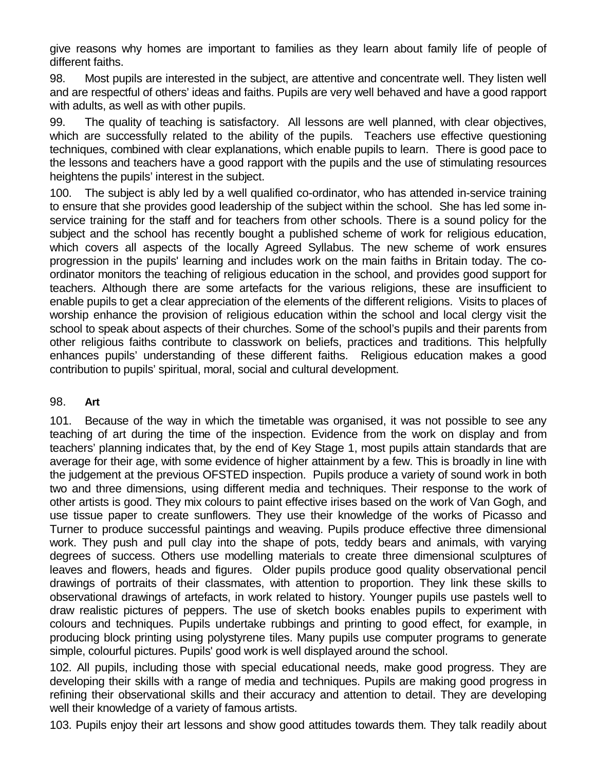give reasons why homes are important to families as they learn about family life of people of different faiths.

98. Most pupils are interested in the subject, are attentive and concentrate well. They listen well and are respectful of others' ideas and faiths. Pupils are very well behaved and have a good rapport with adults, as well as with other pupils.

99. The quality of teaching is satisfactory. All lessons are well planned, with clear objectives, which are successfully related to the ability of the pupils. Teachers use effective questioning techniques, combined with clear explanations, which enable pupils to learn. There is good pace to the lessons and teachers have a good rapport with the pupils and the use of stimulating resources heightens the pupils' interest in the subject.

100. The subject is ably led by a well qualified co-ordinator, who has attended in-service training to ensure that she provides good leadership of the subject within the school. She has led some inservice training for the staff and for teachers from other schools. There is a sound policy for the subject and the school has recently bought a published scheme of work for religious education, which covers all aspects of the locally Agreed Syllabus. The new scheme of work ensures progression in the pupils' learning and includes work on the main faiths in Britain today. The coordinator monitors the teaching of religious education in the school, and provides good support for teachers. Although there are some artefacts for the various religions, these are insufficient to enable pupils to get a clear appreciation of the elements of the different religions. Visits to places of worship enhance the provision of religious education within the school and local clergy visit the school to speak about aspects of their churches. Some of the school's pupils and their parents from other religious faiths contribute to classwork on beliefs, practices and traditions. This helpfully enhances pupils' understanding of these different faiths. Religious education makes a good contribution to pupils' spiritual, moral, social and cultural development.

#### 98. **Art**

101. Because of the way in which the timetable was organised, it was not possible to see any teaching of art during the time of the inspection. Evidence from the work on display and from teachers' planning indicates that, by the end of Key Stage 1, most pupils attain standards that are average for their age, with some evidence of higher attainment by a few. This is broadly in line with the judgement at the previous OFSTED inspection. Pupils produce a variety of sound work in both two and three dimensions, using different media and techniques. Their response to the work of other artists is good. They mix colours to paint effective irises based on the work of Van Gogh, and use tissue paper to create sunflowers. They use their knowledge of the works of Picasso and Turner to produce successful paintings and weaving. Pupils produce effective three dimensional work. They push and pull clay into the shape of pots, teddy bears and animals, with varying degrees of success. Others use modelling materials to create three dimensional sculptures of leaves and flowers, heads and figures. Older pupils produce good quality observational pencil drawings of portraits of their classmates, with attention to proportion. They link these skills to observational drawings of artefacts, in work related to history. Younger pupils use pastels well to draw realistic pictures of peppers. The use of sketch books enables pupils to experiment with colours and techniques. Pupils undertake rubbings and printing to good effect, for example, in producing block printing using polystyrene tiles. Many pupils use computer programs to generate simple, colourful pictures. Pupils' good work is well displayed around the school.

102. All pupils, including those with special educational needs, make good progress. They are developing their skills with a range of media and techniques. Pupils are making good progress in refining their observational skills and their accuracy and attention to detail. They are developing well their knowledge of a variety of famous artists.

103. Pupils enjoy their art lessons and show good attitudes towards them. They talk readily about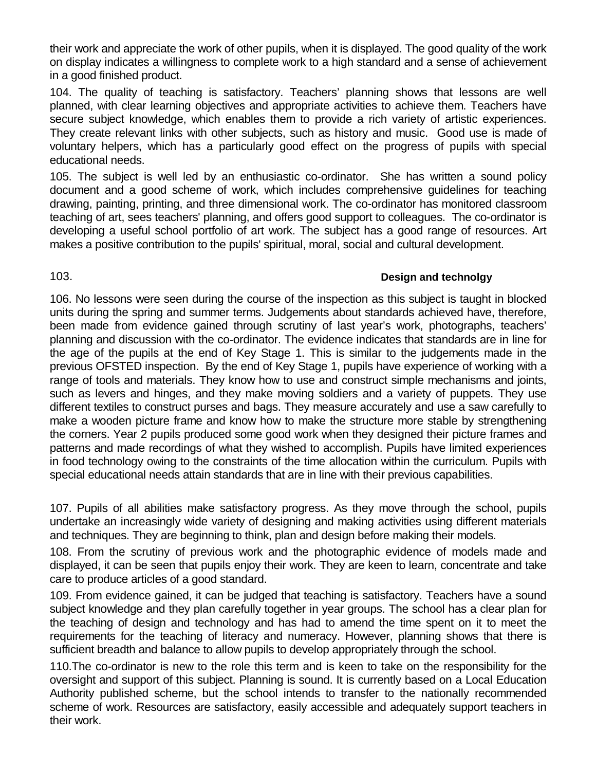their work and appreciate the work of other pupils, when it is displayed. The good quality of the work on display indicates a willingness to complete work to a high standard and a sense of achievement in a good finished product.

104. The quality of teaching is satisfactory. Teachers' planning shows that lessons are well planned, with clear learning objectives and appropriate activities to achieve them. Teachers have secure subject knowledge, which enables them to provide a rich variety of artistic experiences. They create relevant links with other subjects, such as history and music. Good use is made of voluntary helpers, which has a particularly good effect on the progress of pupils with special educational needs.

105. The subject is well led by an enthusiastic co-ordinator. She has written a sound policy document and a good scheme of work, which includes comprehensive guidelines for teaching drawing, painting, printing, and three dimensional work. The co-ordinator has monitored classroom teaching of art, sees teachers' planning, and offers good support to colleagues. The co-ordinator is developing a useful school portfolio of art work. The subject has a good range of resources. Art makes a positive contribution to the pupils' spiritual, moral, social and cultural development.

## 103. **Design and technolgy**

106. No lessons were seen during the course of the inspection as this subject is taught in blocked units during the spring and summer terms. Judgements about standards achieved have, therefore, been made from evidence gained through scrutiny of last year's work, photographs, teachers' planning and discussion with the co-ordinator. The evidence indicates that standards are in line for the age of the pupils at the end of Key Stage 1. This is similar to the judgements made in the previous OFSTED inspection. By the end of Key Stage 1, pupils have experience of working with a range of tools and materials. They know how to use and construct simple mechanisms and joints, such as levers and hinges, and they make moving soldiers and a variety of puppets. They use different textiles to construct purses and bags. They measure accurately and use a saw carefully to make a wooden picture frame and know how to make the structure more stable by strengthening the corners. Year 2 pupils produced some good work when they designed their picture frames and patterns and made recordings of what they wished to accomplish. Pupils have limited experiences in food technology owing to the constraints of the time allocation within the curriculum. Pupils with special educational needs attain standards that are in line with their previous capabilities.

107. Pupils of all abilities make satisfactory progress. As they move through the school, pupils undertake an increasingly wide variety of designing and making activities using different materials and techniques. They are beginning to think, plan and design before making their models.

108. From the scrutiny of previous work and the photographic evidence of models made and displayed, it can be seen that pupils enjoy their work. They are keen to learn, concentrate and take care to produce articles of a good standard.

109. From evidence gained, it can be judged that teaching is satisfactory. Teachers have a sound subject knowledge and they plan carefully together in year groups. The school has a clear plan for the teaching of design and technology and has had to amend the time spent on it to meet the requirements for the teaching of literacy and numeracy. However, planning shows that there is sufficient breadth and balance to allow pupils to develop appropriately through the school.

110.The co-ordinator is new to the role this term and is keen to take on the responsibility for the oversight and support of this subject. Planning is sound. It is currently based on a Local Education Authority published scheme, but the school intends to transfer to the nationally recommended scheme of work. Resources are satisfactory, easily accessible and adequately support teachers in their work.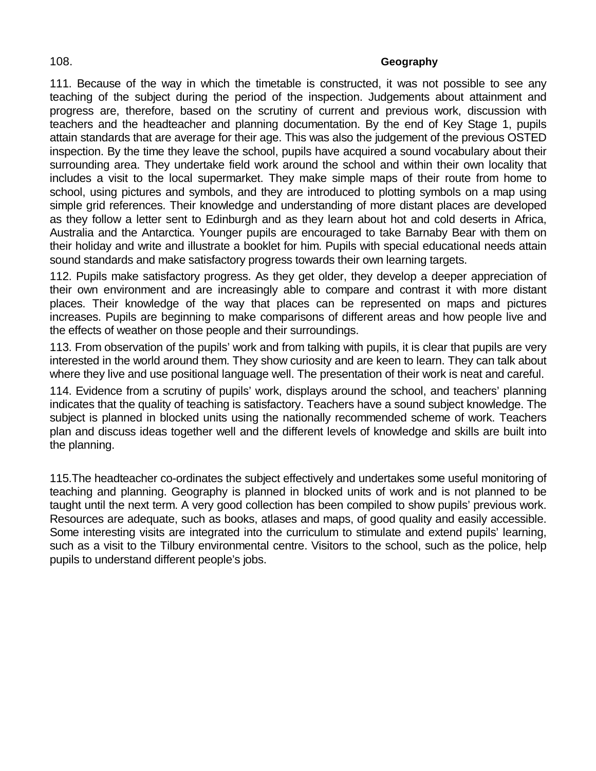#### 108. **Geography**

111. Because of the way in which the timetable is constructed, it was not possible to see any teaching of the subject during the period of the inspection. Judgements about attainment and progress are, therefore, based on the scrutiny of current and previous work, discussion with teachers and the headteacher and planning documentation. By the end of Key Stage 1, pupils attain standards that are average for their age. This was also the judgement of the previous OSTED inspection. By the time they leave the school, pupils have acquired a sound vocabulary about their surrounding area. They undertake field work around the school and within their own locality that includes a visit to the local supermarket. They make simple maps of their route from home to school, using pictures and symbols, and they are introduced to plotting symbols on a map using simple grid references. Their knowledge and understanding of more distant places are developed as they follow a letter sent to Edinburgh and as they learn about hot and cold deserts in Africa, Australia and the Antarctica. Younger pupils are encouraged to take Barnaby Bear with them on their holiday and write and illustrate a booklet for him. Pupils with special educational needs attain sound standards and make satisfactory progress towards their own learning targets.

112. Pupils make satisfactory progress. As they get older, they develop a deeper appreciation of their own environment and are increasingly able to compare and contrast it with more distant places. Their knowledge of the way that places can be represented on maps and pictures increases. Pupils are beginning to make comparisons of different areas and how people live and the effects of weather on those people and their surroundings.

113. From observation of the pupils' work and from talking with pupils, it is clear that pupils are very interested in the world around them. They show curiosity and are keen to learn. They can talk about where they live and use positional language well. The presentation of their work is neat and careful.

114. Evidence from a scrutiny of pupils' work, displays around the school, and teachers' planning indicates that the quality of teaching is satisfactory. Teachers have a sound subject knowledge. The subject is planned in blocked units using the nationally recommended scheme of work. Teachers plan and discuss ideas together well and the different levels of knowledge and skills are built into the planning.

115.The headteacher co-ordinates the subject effectively and undertakes some useful monitoring of teaching and planning. Geography is planned in blocked units of work and is not planned to be taught until the next term. A very good collection has been compiled to show pupils' previous work. Resources are adequate, such as books, atlases and maps, of good quality and easily accessible. Some interesting visits are integrated into the curriculum to stimulate and extend pupils' learning, such as a visit to the Tilbury environmental centre. Visitors to the school, such as the police, help pupils to understand different people's jobs.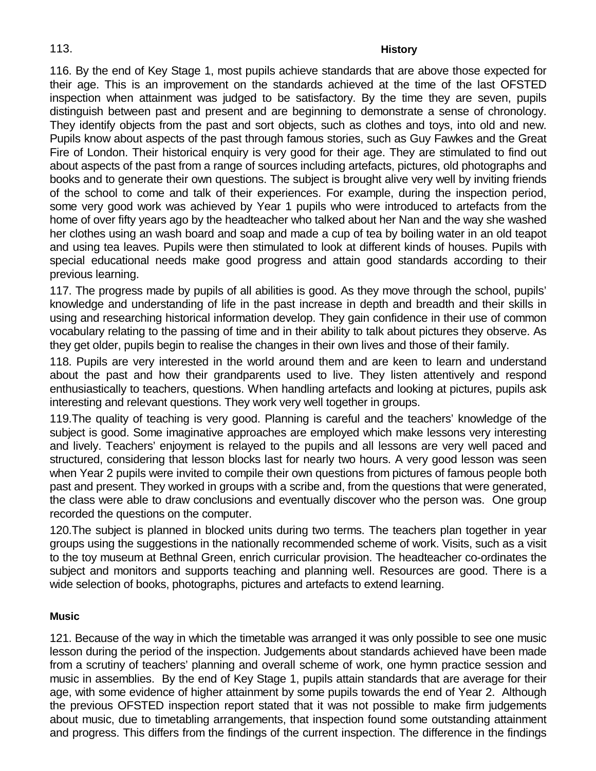#### 113. **History**

116. By the end of Key Stage 1, most pupils achieve standards that are above those expected for their age. This is an improvement on the standards achieved at the time of the last OFSTED inspection when attainment was judged to be satisfactory. By the time they are seven, pupils distinguish between past and present and are beginning to demonstrate a sense of chronology. They identify objects from the past and sort objects, such as clothes and toys, into old and new. Pupils know about aspects of the past through famous stories, such as Guy Fawkes and the Great Fire of London. Their historical enquiry is very good for their age. They are stimulated to find out about aspects of the past from a range of sources including artefacts, pictures, old photographs and books and to generate their own questions. The subject is brought alive very well by inviting friends of the school to come and talk of their experiences. For example, during the inspection period, some very good work was achieved by Year 1 pupils who were introduced to artefacts from the home of over fifty years ago by the headteacher who talked about her Nan and the way she washed her clothes using an wash board and soap and made a cup of tea by boiling water in an old teapot and using tea leaves. Pupils were then stimulated to look at different kinds of houses. Pupils with special educational needs make good progress and attain good standards according to their previous learning.

117. The progress made by pupils of all abilities is good. As they move through the school, pupils' knowledge and understanding of life in the past increase in depth and breadth and their skills in using and researching historical information develop. They gain confidence in their use of common vocabulary relating to the passing of time and in their ability to talk about pictures they observe. As they get older, pupils begin to realise the changes in their own lives and those of their family.

118. Pupils are very interested in the world around them and are keen to learn and understand about the past and how their grandparents used to live. They listen attentively and respond enthusiastically to teachers, questions. When handling artefacts and looking at pictures, pupils ask interesting and relevant questions. They work very well together in groups.

119.The quality of teaching is very good. Planning is careful and the teachers' knowledge of the subject is good. Some imaginative approaches are employed which make lessons very interesting and lively. Teachers' enjoyment is relayed to the pupils and all lessons are very well paced and structured, considering that lesson blocks last for nearly two hours. A very good lesson was seen when Year 2 pupils were invited to compile their own questions from pictures of famous people both past and present. They worked in groups with a scribe and, from the questions that were generated, the class were able to draw conclusions and eventually discover who the person was. One group recorded the questions on the computer.

120.The subject is planned in blocked units during two terms. The teachers plan together in year groups using the suggestions in the nationally recommended scheme of work. Visits, such as a visit to the toy museum at Bethnal Green, enrich curricular provision. The headteacher co-ordinates the subject and monitors and supports teaching and planning well. Resources are good. There is a wide selection of books, photographs, pictures and artefacts to extend learning.

#### **Music**

121. Because of the way in which the timetable was arranged it was only possible to see one music lesson during the period of the inspection. Judgements about standards achieved have been made from a scrutiny of teachers' planning and overall scheme of work, one hymn practice session and music in assemblies. By the end of Key Stage 1, pupils attain standards that are average for their age, with some evidence of higher attainment by some pupils towards the end of Year 2. Although the previous OFSTED inspection report stated that it was not possible to make firm judgements about music, due to timetabling arrangements, that inspection found some outstanding attainment and progress. This differs from the findings of the current inspection. The difference in the findings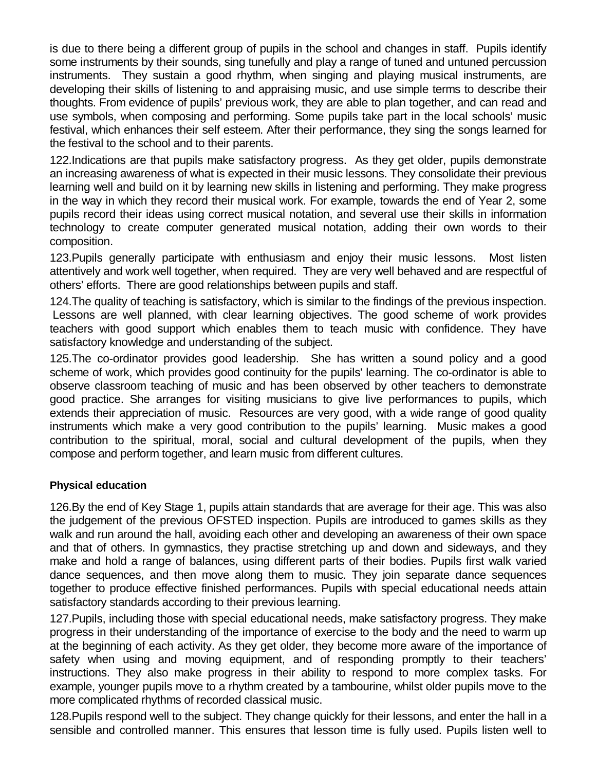is due to there being a different group of pupils in the school and changes in staff. Pupils identify some instruments by their sounds, sing tunefully and play a range of tuned and untuned percussion instruments. They sustain a good rhythm, when singing and playing musical instruments, are developing their skills of listening to and appraising music, and use simple terms to describe their thoughts. From evidence of pupils' previous work, they are able to plan together, and can read and use symbols, when composing and performing. Some pupils take part in the local schools' music festival, which enhances their self esteem. After their performance, they sing the songs learned for the festival to the school and to their parents.

122.Indications are that pupils make satisfactory progress. As they get older, pupils demonstrate an increasing awareness of what is expected in their music lessons. They consolidate their previous learning well and build on it by learning new skills in listening and performing. They make progress in the way in which they record their musical work. For example, towards the end of Year 2, some pupils record their ideas using correct musical notation, and several use their skills in information technology to create computer generated musical notation, adding their own words to their composition.

123.Pupils generally participate with enthusiasm and enjoy their music lessons. Most listen attentively and work well together, when required. They are very well behaved and are respectful of others' efforts. There are good relationships between pupils and staff.

124.The quality of teaching is satisfactory, which is similar to the findings of the previous inspection. Lessons are well planned, with clear learning objectives. The good scheme of work provides teachers with good support which enables them to teach music with confidence. They have satisfactory knowledge and understanding of the subject.

125.The co-ordinator provides good leadership. She has written a sound policy and a good scheme of work, which provides good continuity for the pupils' learning. The co-ordinator is able to observe classroom teaching of music and has been observed by other teachers to demonstrate good practice. She arranges for visiting musicians to give live performances to pupils, which extends their appreciation of music. Resources are very good, with a wide range of good quality instruments which make a very good contribution to the pupils' learning. Music makes a good contribution to the spiritual, moral, social and cultural development of the pupils, when they compose and perform together, and learn music from different cultures.

#### **Physical education**

126.By the end of Key Stage 1, pupils attain standards that are average for their age. This was also the judgement of the previous OFSTED inspection. Pupils are introduced to games skills as they walk and run around the hall, avoiding each other and developing an awareness of their own space and that of others. In gymnastics, they practise stretching up and down and sideways, and they make and hold a range of balances, using different parts of their bodies. Pupils first walk varied dance sequences, and then move along them to music. They join separate dance sequences together to produce effective finished performances. Pupils with special educational needs attain satisfactory standards according to their previous learning.

127.Pupils, including those with special educational needs, make satisfactory progress. They make progress in their understanding of the importance of exercise to the body and the need to warm up at the beginning of each activity. As they get older, they become more aware of the importance of safety when using and moving equipment, and of responding promptly to their teachers' instructions. They also make progress in their ability to respond to more complex tasks. For example, younger pupils move to a rhythm created by a tambourine, whilst older pupils move to the more complicated rhythms of recorded classical music.

128.Pupils respond well to the subject. They change quickly for their lessons, and enter the hall in a sensible and controlled manner. This ensures that lesson time is fully used. Pupils listen well to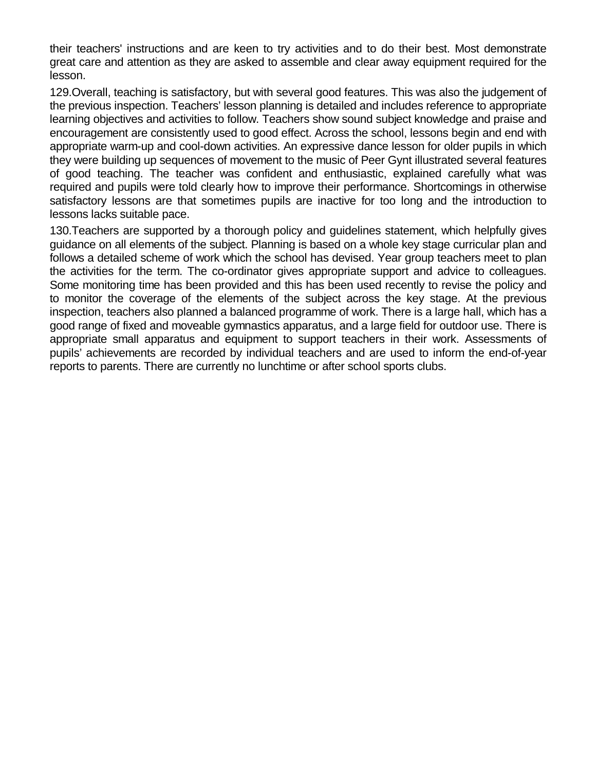their teachers' instructions and are keen to try activities and to do their best. Most demonstrate great care and attention as they are asked to assemble and clear away equipment required for the lesson.

129.Overall, teaching is satisfactory, but with several good features. This was also the judgement of the previous inspection. Teachers' lesson planning is detailed and includes reference to appropriate learning objectives and activities to follow. Teachers show sound subject knowledge and praise and encouragement are consistently used to good effect. Across the school, lessons begin and end with appropriate warm-up and cool-down activities. An expressive dance lesson for older pupils in which they were building up sequences of movement to the music of Peer Gynt illustrated several features of good teaching. The teacher was confident and enthusiastic, explained carefully what was required and pupils were told clearly how to improve their performance. Shortcomings in otherwise satisfactory lessons are that sometimes pupils are inactive for too long and the introduction to lessons lacks suitable pace.

130.Teachers are supported by a thorough policy and guidelines statement, which helpfully gives guidance on all elements of the subject. Planning is based on a whole key stage curricular plan and follows a detailed scheme of work which the school has devised. Year group teachers meet to plan the activities for the term. The co-ordinator gives appropriate support and advice to colleagues. Some monitoring time has been provided and this has been used recently to revise the policy and to monitor the coverage of the elements of the subject across the key stage. At the previous inspection, teachers also planned a balanced programme of work. There is a large hall, which has a good range of fixed and moveable gymnastics apparatus, and a large field for outdoor use. There is appropriate small apparatus and equipment to support teachers in their work. Assessments of pupils' achievements are recorded by individual teachers and are used to inform the end-of-year reports to parents. There are currently no lunchtime or after school sports clubs.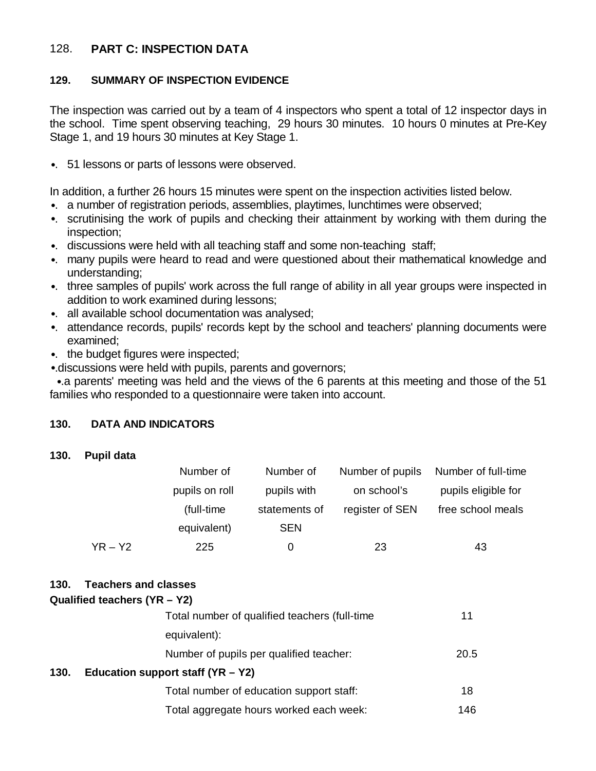## 128. **PART C: INSPECTION DATA**

#### **129. SUMMARY OF INSPECTION EVIDENCE**

The inspection was carried out by a team of 4 inspectors who spent a total of 12 inspector days in the school. Time spent observing teaching, 29 hours 30 minutes. 10 hours 0 minutes at Pre-Key Stage 1, and 19 hours 30 minutes at Key Stage 1.

•. 51 lessons or parts of lessons were observed.

In addition, a further 26 hours 15 minutes were spent on the inspection activities listed below.

- •. a number of registration periods, assemblies, playtimes, lunchtimes were observed;
- •. scrutinising the work of pupils and checking their attainment by working with them during the inspection;
- •. discussions were held with all teaching staff and some non-teaching staff;
- •. many pupils were heard to read and were questioned about their mathematical knowledge and understanding;
- •. three samples of pupils' work across the full range of ability in all year groups were inspected in addition to work examined during lessons;
- •. all available school documentation was analysed;
- •. attendance records, pupils' records kept by the school and teachers' planning documents were examined;
- •. the budget figures were inspected;
- •.discussions were held with pupils, parents and governors;

 •.a parents' meeting was held and the views of the 6 parents at this meeting and those of the 51 families who responded to a questionnaire were taken into account.

#### **130. DATA AND INDICATORS**

**130. Pupil data**

|           | Number of      | Number of     | Number of pupils | Number of full-time |
|-----------|----------------|---------------|------------------|---------------------|
|           | pupils on roll | pupils with   | on school's      | pupils eligible for |
|           | (full-time)    | statements of | register of SEN  | free school meals   |
|           | equivalent)    | <b>SEN</b>    |                  |                     |
| $YR - Y2$ | 225            | 0             | 23               | 43                  |

#### **130. Teachers and classes**

| 1 JU.                                       | TEACHERS AND CRESSES                          |      |
|---------------------------------------------|-----------------------------------------------|------|
|                                             | Qualified teachers $(YR - Y2)$                |      |
|                                             | Total number of qualified teachers (full-time | 11   |
|                                             | equivalent):                                  |      |
|                                             | Number of pupils per qualified teacher:       | 20.5 |
| Education support staff $(YR - Y2)$<br>130. |                                               |      |
|                                             | Total number of education support staff:      | 18   |
|                                             | Total aggregate hours worked each week:       | 146  |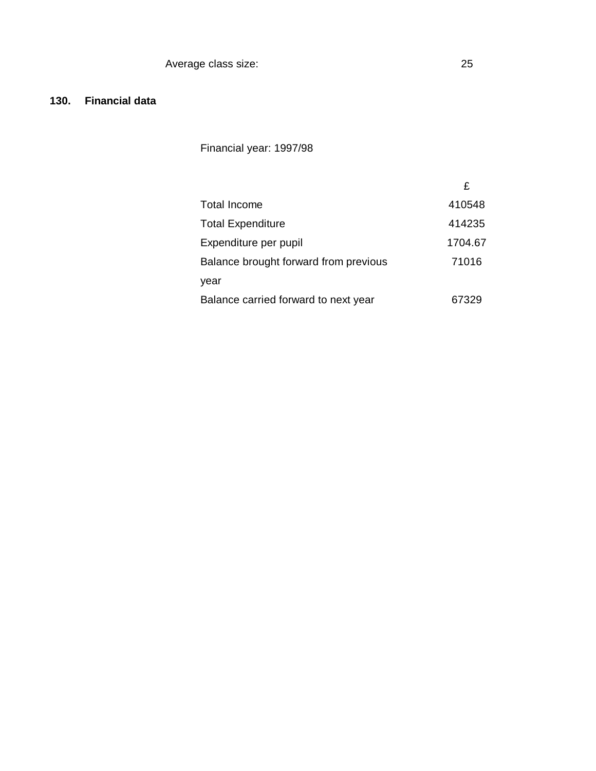## **130. Financial data**

Financial year: 1997/98

|                                       | £       |
|---------------------------------------|---------|
| <b>Total Income</b>                   | 410548  |
| <b>Total Expenditure</b>              | 414235  |
| Expenditure per pupil                 | 1704.67 |
| Balance brought forward from previous | 71016   |
| year                                  |         |
| Balance carried forward to next year  | 67329   |